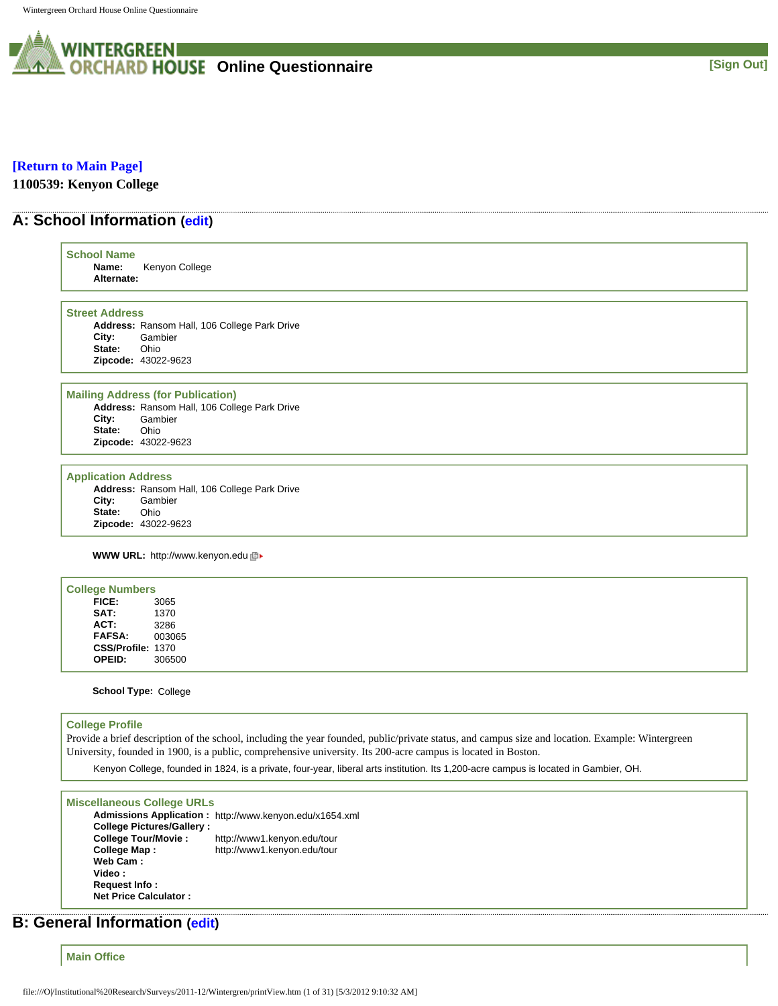

### **[\[Return to Main Page\]](http://survey.wgoh.com/secure/contents.htm)**

**1100539: Kenyon College** 

## **A: School Information ([edit](http://survey.wgoh.com/secure/sectionAView.htm))**

| <b>School Name</b><br>Name:<br>Alternate:                        | Kenyon College                                                                                                                     |
|------------------------------------------------------------------|------------------------------------------------------------------------------------------------------------------------------------|
| <b>Street Address</b><br>City:<br>State:                         | Address: Ransom Hall, 106 College Park Drive<br>Gambier<br>Ohio                                                                    |
|                                                                  | Zipcode: 43022-9623                                                                                                                |
| City:<br>State:                                                  | <b>Mailing Address (for Publication)</b><br>Address: Ransom Hall, 106 College Park Drive<br>Gambier<br>Ohio<br>Zipcode: 43022-9623 |
| <b>Application Address</b><br>City:<br>State:                    | Address: Ransom Hall, 106 College Park Drive<br>Gambier<br>Ohio<br>Zipcode: 43022-9623                                             |
|                                                                  | <b>WWW URL: http://www.kenyon.edu 回▶</b>                                                                                           |
| <b>College Numbers</b><br>FICE:<br>SAT:<br>ACT:<br><b>FAFSA:</b> | 3065<br>1370<br>3286<br>003065                                                                                                     |

**School Type:** College

**CSS/Profile:** 1370 **OPEID:** 306500

#### **College Profile**

Provide a brief description of the school, including the year founded, public/private status, and campus size and location. Example: Wintergreen University, founded in 1900, is a public, comprehensive university. Its 200-acre campus is located in Boston.

Kenyon College, founded in 1824, is a private, four-year, liberal arts institution. Its 1,200-acre campus is located in Gambier, OH.

#### **Miscellaneous College URLs**

**Admissions Application :** http://www.kenyon.edu/x1654.xml **College Pictures/Gallery : College Tour/Movie :** http://www1.kenyon.edu/tour **College Map :** http://www1.kenyon.edu/tour **Web Cam : Video : Request Info : Net Price Calculator :**

## **B: General Information [\(edit](http://survey.wgoh.com/secure/sectionBView.htm))**

**Main Office**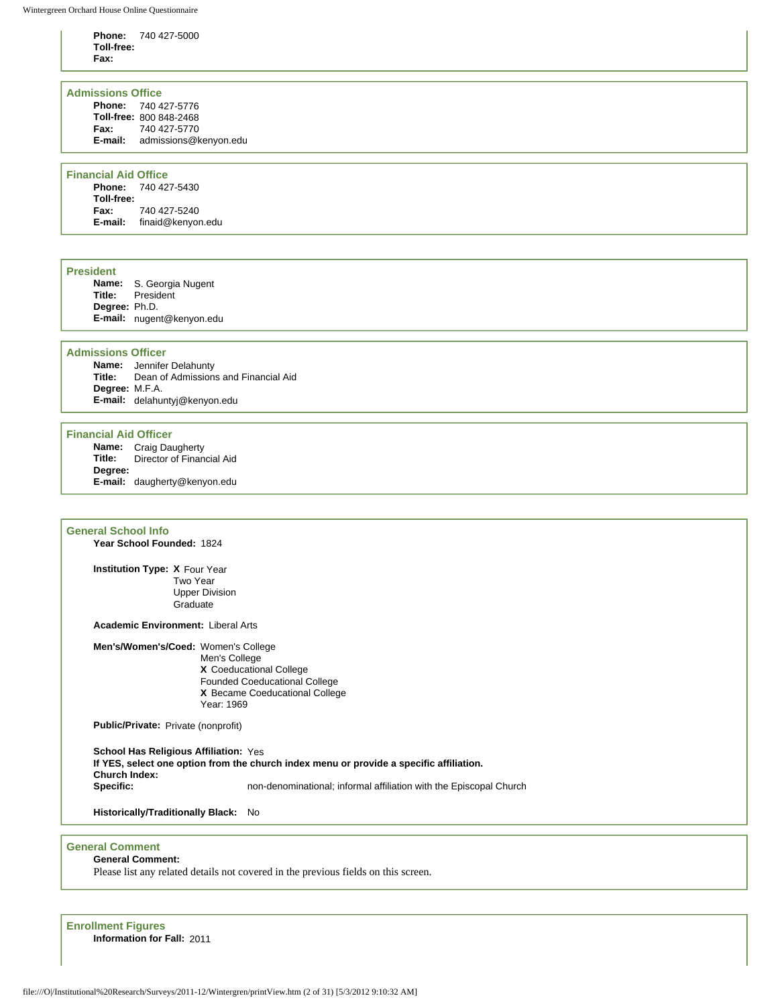**Phone:** 740 427-5000 **Toll-free: Fax:**

#### **Admissions Office**

**Phone:** 740 427-5776 **Toll-free:** 800 848-2468 **Fax:** 740 427-5770 **E-mail:** admissions@kenyon.edu

#### **Financial Aid Office**

**Phone:** 740 427-5430 **Toll-free: Fax:** 740 427-5240 **E-mail:** finaid@kenyon.edu

#### **President**

**Name:** S. Georgia Nugent **President Degree:** Ph.D. **E-mail:** nugent@kenyon.edu

#### **Admissions Officer**

**Name:** Jennifer Delahunty **Title:** Dean of Admissions and Financial Aid **Degree:** M.F.A. **E-mail:** delahuntyj@kenyon.edu

#### **Financial Aid Officer**

**Name:** Craig Daugherty<br>**Title:** Director of Finan **Director of Financial Aid Degree: E-mail:** daugherty@kenyon.edu

#### **General School Info**

**Year School Founded:** 1824

**Institution Type: X** Four Year Two Year Upper Division **Graduate** 

**Academic Environment:** Liberal Arts

**Men's/Women's/Coed:** Women's College

Men's College **X** Coeducational College Founded Coeducational College **X** Became Coeducational College Year: 1969

**Public/Private:** Private (nonprofit)

**School Has Religious Affiliation:** Yes **If YES, select one option from the church index menu or provide a specific affiliation. Church Index: Specific:** non-denominational; informal affiliation with the Episcopal Church

**Historically/Traditionally Black:** No

### **General Comment**

**General Comment:** 

Please list any related details not covered in the previous fields on this screen.

**Enrollment Figures Information for Fall:** 2011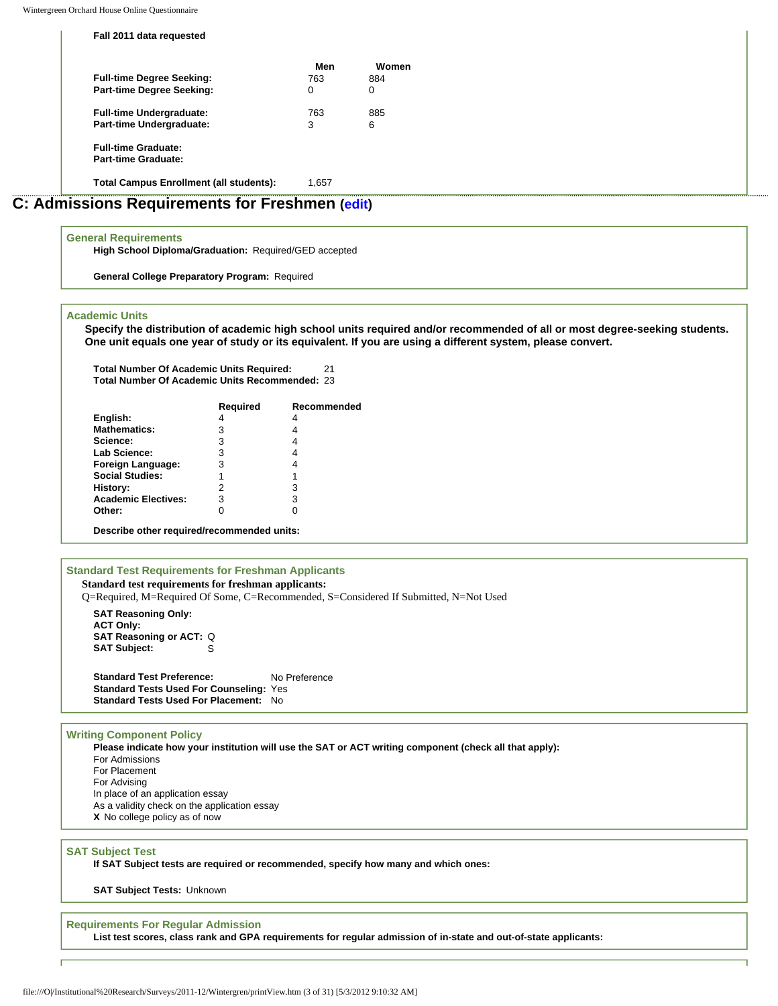**Fall 2011 data requested**

| <b>Part-time Degree Seeking:</b><br>0<br>0<br><b>Full-time Undergraduate:</b><br>763<br>885<br>Part-time Undergraduate:<br>6<br>ີ<br>3 |
|----------------------------------------------------------------------------------------------------------------------------------------|
|                                                                                                                                        |
|                                                                                                                                        |
|                                                                                                                                        |

# **C: Admissions Requirements for Freshmen [\(edit\)](http://survey.wgoh.com/secure/sectionCView.htm)**

#### **General Requirements**

**High School Diploma/Graduation:** Required/GED accepted

**General College Preparatory Program:** Required

#### **Academic Units**

**Specify the distribution of academic high school units required and/or recommended of all or most degree-seeking students. One unit equals one year of study or its equivalent. If you are using a different system, please convert.** 

**Total Number Of Academic Units Required:** 21 **Total Number Of Academic Units Recommended:** 23

|                                            | Required | Recommended |  |  |  |
|--------------------------------------------|----------|-------------|--|--|--|
| English:                                   |          |             |  |  |  |
| <b>Mathematics:</b>                        | 3        |             |  |  |  |
| Science:                                   | 3        | 4           |  |  |  |
| Lab Science:                               | 3        | 4           |  |  |  |
| Foreign Language:                          | 3        | 4           |  |  |  |
| <b>Social Studies:</b>                     |          |             |  |  |  |
| History:                                   | 2        | 3           |  |  |  |
| <b>Academic Electives:</b>                 | 3        | 3           |  |  |  |
| Other:                                     |          |             |  |  |  |
| Describe other required/recommended units: |          |             |  |  |  |

### **Standard Test Requirements for Freshman Applicants**

**Standard test requirements for freshman applicants:** Q=Required, M=Required Of Some, C=Recommended, S=Considered If Submitted, N=Not Used

**SAT Reasoning Only: ACT Only: SAT Reasoning or ACT: Q**<br>**SAT Subject:** S **SAT Subject:** 

**Standard Test Preference:** No Preference **Standard Tests Used For Counseling:** Yes **Standard Tests Used For Placement:** No

#### **Writing Component Policy**

**Please indicate how your institution will use the SAT or ACT writing component (check all that apply):** For Admissions For Placement For Advising In place of an application essay As a validity check on the application essay **X** No college policy as of now

#### **SAT Subject Test**

**If SAT Subject tests are required or recommended, specify how many and which ones:** 

**SAT Subject Tests:** Unknown

#### **Requirements For Regular Admission**

**List test scores, class rank and GPA requirements for regular admission of in-state and out-of-state applicants:**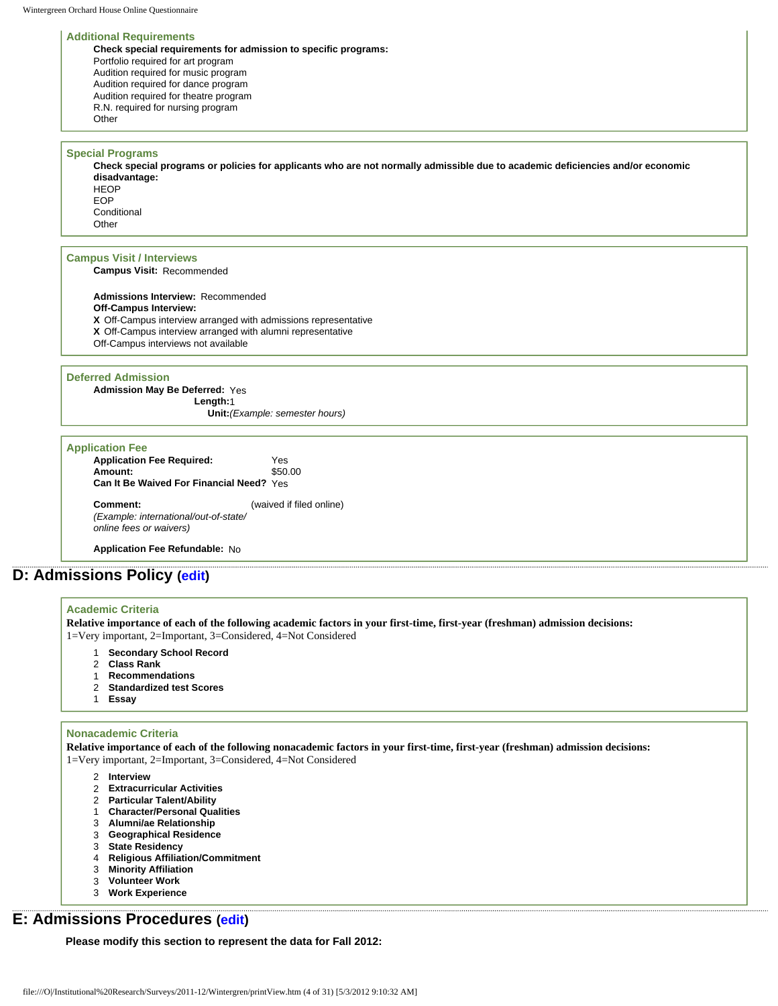#### **Additional Requirements**

**Check special requirements for admission to specific programs:** Portfolio required for art program Audition required for music program Audition required for dance program Audition required for theatre program R.N. required for nursing program **Other** 

#### **Special Programs**

**Check special programs or policies for applicants who are not normally admissible due to academic deficiencies and/or economic disadvantage: HFOP** EOP

**Conditional Other** 

#### **Campus Visit / Interviews**

**Campus Visit:** Recommended

**Admissions Interview:** Recommended **Off-Campus Interview: X** Off-Campus interview arranged with admissions representative **X** Off-Campus interview arranged with alumni representative Off-Campus interviews not available

#### **Deferred Admission**

**Admission May Be Deferred:** Yes **Length:**1 **Unit:***(Example: semester hours)*

#### **Application Fee Application Fee Required:** Yes **Amount:** \$50.00 **Can It Be Waived For Financial Need?** Yes **Comment:** (waived if filed online)

*(Example: international/out-of-state/ online fees or waivers)*

**Application Fee Refundable:** No

## **D: Admissions Policy ([edit\)](http://survey.wgoh.com/secure/sectionDView.htm)**

#### **Academic Criteria**

**Relative importance of each of the following academic factors in your first-time, first-year (freshman) admission decisions:** 1=Very important, 2=Important, 3=Considered, 4=Not Considered

- 1 **Secondary School Record**
- 2 **Class Rank**
- 1 **Recommendations**
- 2 **Standardized test Scores**
- 1 **Essay**

#### **Nonacademic Criteria**

**Relative importance of each of the following nonacademic factors in your first-time, first-year (freshman) admission decisions:** 1=Very important, 2=Important, 3=Considered, 4=Not Considered

- 2 **Interview**
- 2 **Extracurricular Activities**
- 2 **Particular Talent/Ability**
- 1 **Character/Personal Qualities**
- 3 **Alumni/ae Relationship**
- 3 **Geographical Residence**
- 3 **State Residency**
- 4 **Religious Affiliation/Commitment**
- 3 **Minority Affiliation**
- 3 **Volunteer Work**
- 3 **Work Experience**

## **E: Admissions Procedures ([edit](http://survey.wgoh.com/secure/sectionEView.htm))**

**Please modify this section to represent the data for Fall 2012:**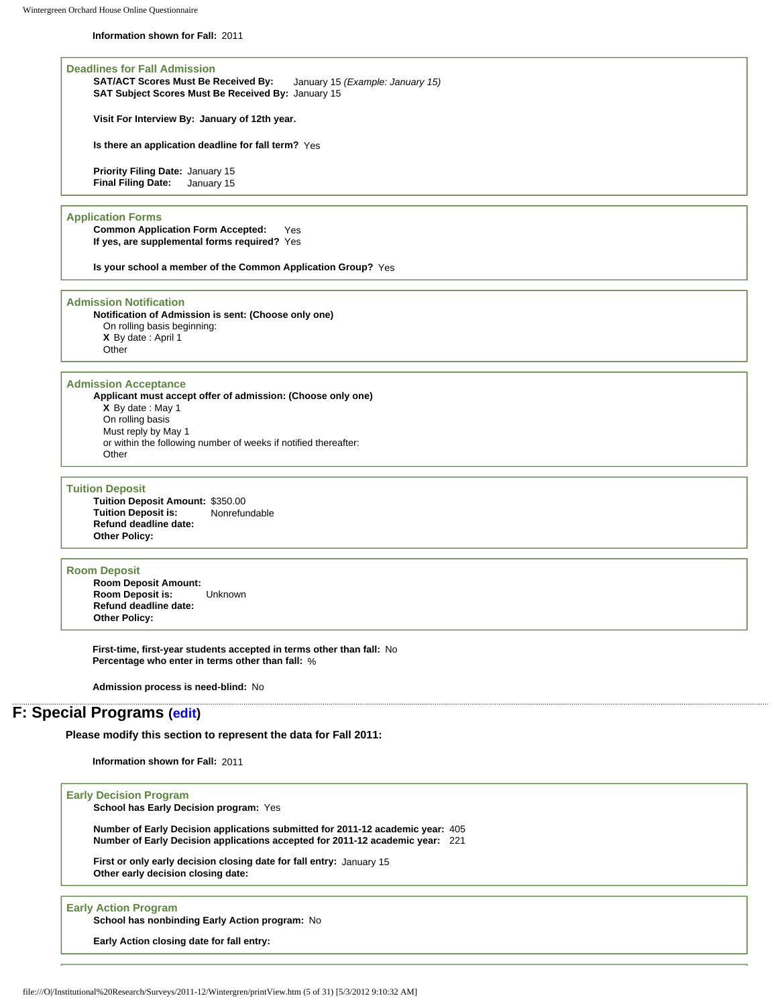**Information shown for Fall:** 2011

**Deadlines for Fall Admission SAT/ACT Scores Must Be Received By:** January 15 *(Example: January 15)* **SAT Subject Scores Must Be Received By:** January 15

**Visit For Interview By: January of 12th year.**

**Is there an application deadline for fall term?** Yes

**Priority Filing Date:** January 15 **Final Filing Date:** January 15

#### **Application Forms**

**Common Application Form Accepted:** Yes **If yes, are supplemental forms required?** Yes

**Is your school a member of the Common Application Group?** Yes

#### **Admission Notification**

**Notification of Admission is sent: (Choose only one)** On rolling basis beginning: **X** By date : April 1 **Other** 

#### **Admission Acceptance**

**Applicant must accept offer of admission: (Choose only one) X** By date : May 1 On rolling basis Must reply by May 1 or within the following number of weeks if notified thereafter: **Other** 

#### **Tuition Deposit**

**Tuition Deposit Amount:** \$350.00 **Tuition Deposit is: Refund deadline date: Other Policy:**

#### **Room Deposit**

**Room Deposit Amount: Room Deposit is:** Unknown **Refund deadline date: Other Policy:**

**First-time, first-year students accepted in terms other than fall:** No **Percentage who enter in terms other than fall:** %

**Admission process is need-blind:** No

## **F: Special Programs [\(edit\)](http://survey.wgoh.com/secure/sectionFView.htm)**

**Please modify this section to represent the data for Fall 2011:** 

**Information shown for Fall:** 2011

#### **Early Decision Program**

**School has Early Decision program:** Yes

**Number of Early Decision applications submitted for 2011-12 academic year:** 405 **Number of Early Decision applications accepted for 2011-12 academic year:** 221

**First or only early decision closing date for fall entry:** January 15 **Other early decision closing date:**

#### **Early Action Program**

**School has nonbinding Early Action program:** No

**Early Action closing date for fall entry:**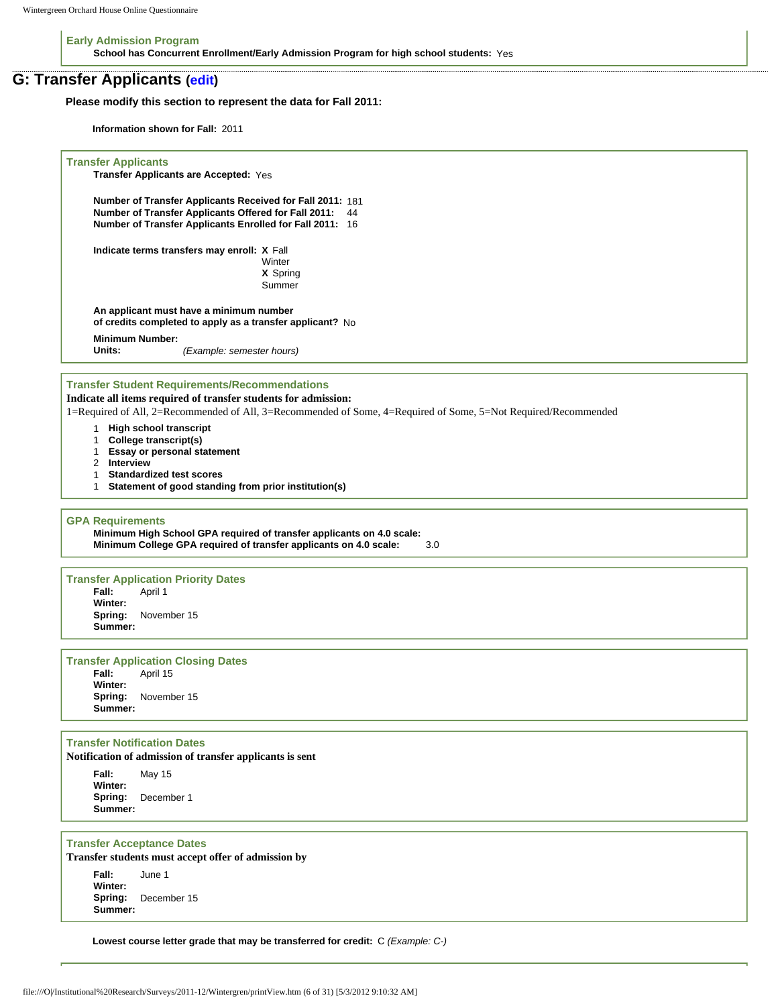**Early Admission Program School has Concurrent Enrollment/Early Admission Program for high school students:** Yes

### **G: Transfer Applicants ([edit](http://survey.wgoh.com/secure/sectionGView.htm))**

**Please modify this section to represent the data for Fall 2011:** 

**Information shown for Fall:** 2011

```
Transfer Applicants
     Transfer Applicants are Accepted: Yes 
     Number of Transfer Applicants Received for Fall 2011: 181 
     Number of Transfer Applicants Offered for Fall 2011: 44 
     Number of Transfer Applicants Enrolled for Fall 2011: 16 
     Indicate terms transfers may enroll: X Fall 
                                         Winter
                                         X Spring 
                                         Summer 
     An applicant must have a minimum number 
     of credits completed to apply as a transfer applicant? No 
     Minimum Number:
                        Units: (Example: semester hours)
Transfer Student Requirements/Recommendations
Indicate all items required of transfer students for admission:
1=Required of All, 2=Recommended of All, 3=Recommended of Some, 4=Required of Some, 5=Not Required/Recommended
     1 High school transcript
     1 College transcript(s)
     1 Essay or personal statement
     2 Interview
     1 Standardized test scores
     1 Statement of good standing from prior institution(s)
GPA Requirements
     Minimum High School GPA required of transfer applicants on 4.0 scale:
     Minimum College GPA required of transfer applicants on 4.0 scale: 3.0 
Transfer Application Priority Dates
               Fall: April 1 
     Winter:
              Spring: November 15 
     Summer:
Transfer Application Closing Dates
               April 15
     Winter:
               Spring: November 15 
     Summer:
Transfer Notification Dates
Notification of admission of transfer applicants is sent
     Fall: May 15 
     Winter:
               Spring: December 1 
     Summer:
Transfer Acceptance Dates
Transfer students must accept offer of admission by
     Fall: June 1 
     Winter:
     Spring: December 15 
     Summer:
```
**Lowest course letter grade that may be transferred for credit:** C *(Example: C-)*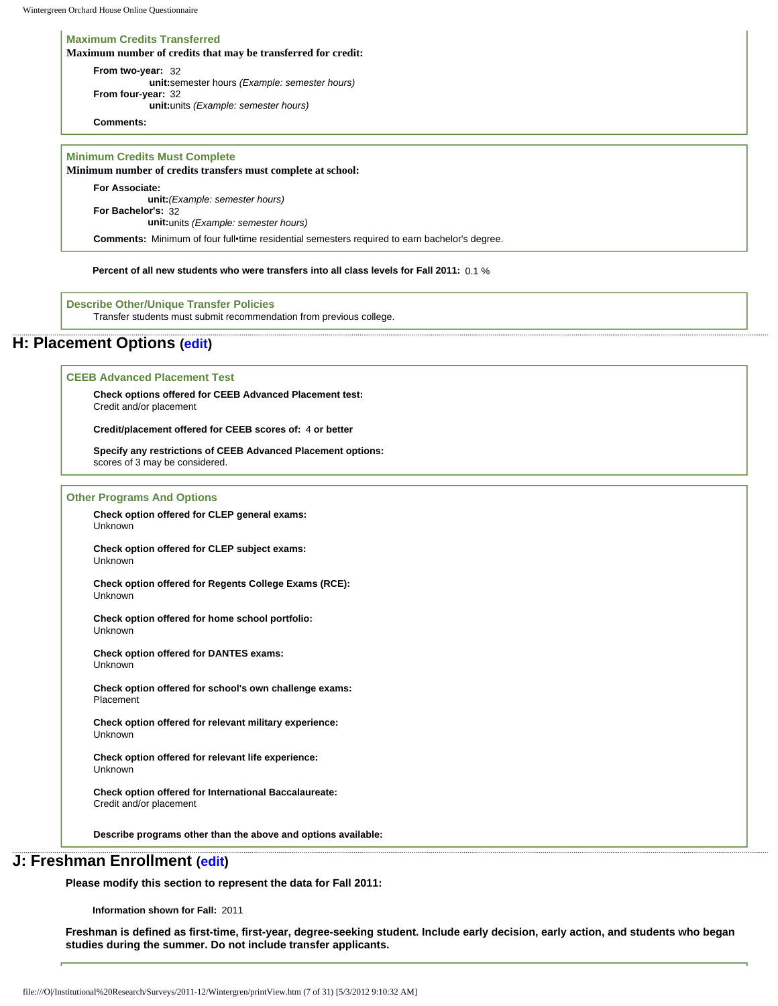#### **Maximum Credits Transferred**

**Maximum number of credits that may be transferred for credit:**

**From two-year:** 32 **unit:**semester hours *(Example: semester hours)* **From four-year:** 32 **unit:**units *(Example: semester hours)*

**Comments:**

**Minimum Credits Must Complete**

#### **Minimum number of credits transfers must complete at school:**

**For Associate: unit:***(Example: semester hours)* **For Bachelor's:** 32 **unit:**units *(Example: semester hours)*

**Comments:** Minimum of four full•time residential semesters required to earn bachelor's degree.

**Percent of all new students who were transfers into all class levels for Fall 2011:** 0.1 %

**Describe Other/Unique Transfer Policies** Transfer students must submit recommendation from previous college.

## **H: Placement Options ([edit\)](http://survey.wgoh.com/secure/sectionHView.htm)**

#### **CEEB Advanced Placement Test**

**Check options offered for CEEB Advanced Placement test:** Credit and/or placement

**Credit/placement offered for CEEB scores of:** 4 **or better** 

**Specify any restrictions of CEEB Advanced Placement options:**  scores of 3 may be considered.

#### **Other Programs And Options**

**Check option offered for CLEP general exams:** Unknown

**Check option offered for CLEP subject exams:** Unknown

**Check option offered for Regents College Exams (RCE):** Unknown

**Check option offered for home school portfolio:** Unknown

**Check option offered for DANTES exams:** Unknown

**Check option offered for school's own challenge exams:** Placement

**Check option offered for relevant military experience:** Unknown

**Check option offered for relevant life experience:** Unknown

**Check option offered for International Baccalaureate:** Credit and/or placement

**Describe programs other than the above and options available:** 

## **J: Freshman Enrollment [\(edit\)](http://survey.wgoh.com/secure/sectionJView.htm)**

**Please modify this section to represent the data for Fall 2011:** 

**Information shown for Fall:** 2011

**Freshman is defined as first-time, first-year, degree-seeking student. Include early decision, early action, and students who began studies during the summer. Do not include transfer applicants.**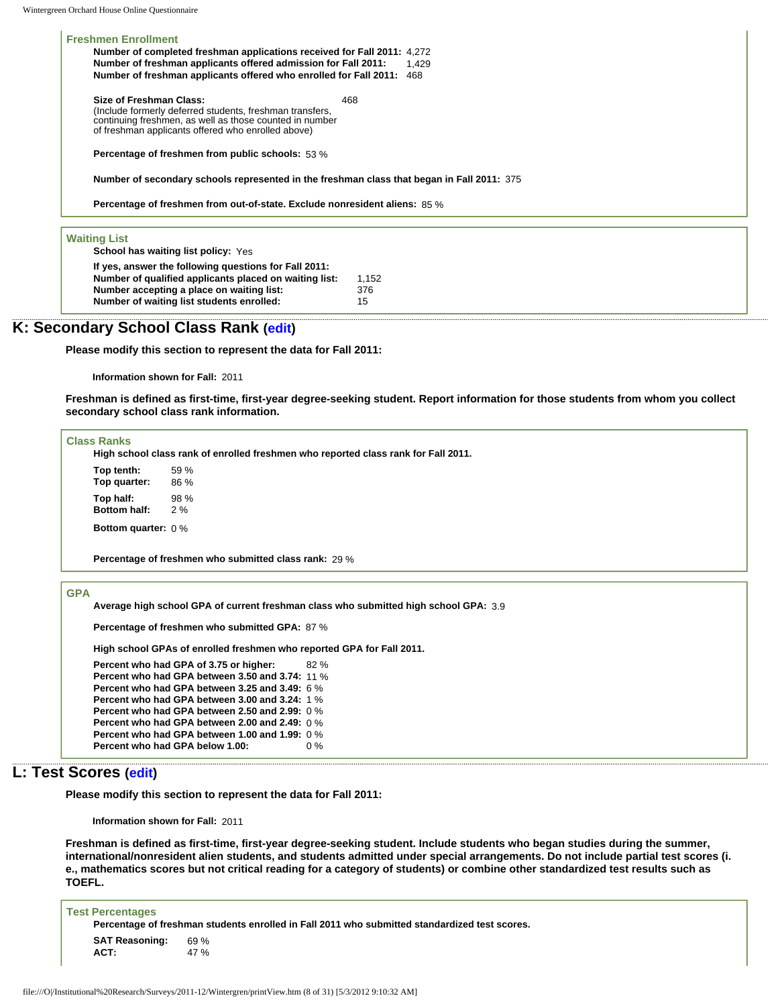**Freshmen Enrollment Number of completed freshman applications received for Fall 2011:** 4,272 **Number of freshman applicants offered admission for Fall 2011:** 1,429 **Number of freshman applicants offered who enrolled for Fall 2011:** 468 **Size of Freshman Class:**  (Include formerly deferred students, freshman transfers, continuing freshmen, as well as those counted in number 468

**Percentage of freshmen from public schools:** 53 %

of freshman applicants offered who enrolled above)

**Number of secondary schools represented in the freshman class that began in Fall 2011:** 375

**Percentage of freshmen from out-of-state. Exclude nonresident aliens:** 85 %

#### **Waiting List**

**School has waiting list policy:** Yes

**If yes, answer the following questions for Fall 2011: Number of qualified applicants placed on waiting list:** 1,152 **Number accepting a place on waiting list:** 376 **Number of waiting list students enrolled:** 15

### **K: Secondary School Class Rank ([edit](http://survey.wgoh.com/secure/sectionKView.htm))**

**Please modify this section to represent the data for Fall 2011:** 

**Information shown for Fall:** 2011

**Freshman is defined as first-time, first-year degree-seeking student. Report information for those students from whom you collect secondary school class rank information.** 

#### **Class Ranks**

**High school class rank of enrolled freshmen who reported class rank for Fall 2011.**

**Top tenth:** 59 % **Top quarter:** 86 % **Top half:** 98 % **Bottom half:** 

**Bottom quarter:** 0 %

**Percentage of freshmen who submitted class rank:** 29 %

#### **GPA**

**Average high school GPA of current freshman class who submitted high school GPA:** 3.9

**Percentage of freshmen who submitted GPA:** 87 %

**High school GPAs of enrolled freshmen who reported GPA for Fall 2011.**

```
Percent who had GPA of 3.75 or higher: 82 % 
Percent who had GPA between 3.50 and 3.74: 11 % 
Percent who had GPA between 3.25 and 3.49: 6 % 
Percent who had GPA between 3.00 and 3.24: 1 % 
Percent who had GPA between 2.50 and 2.99: 0 % 
Percent who had GPA between 2.00 and 2.49: 0 % 
Percent who had GPA between 1.00 and 1.99: 0 % 
Percent who had GPA below 1.00: 0 %
```
## **L: Test Scores ([edit](http://survey.wgoh.com/secure/sectionLView.htm))**

**Please modify this section to represent the data for Fall 2011:** 

**Information shown for Fall:** 2011

**Freshman is defined as first-time, first-year degree-seeking student. Include students who began studies during the summer, international/nonresident alien students, and students admitted under special arrangements. Do not include partial test scores (i. e., mathematics scores but not critical reading for a category of students) or combine other standardized test results such as TOEFL.** 

| <b>Test Percentages</b> |                                                                                               |
|-------------------------|-----------------------------------------------------------------------------------------------|
|                         | Percentage of freshman students enrolled in Fall 2011 who submitted standardized test scores. |
| <b>SAT Reasoning:</b>   | 69 %                                                                                          |
| ACT:                    | 47 %                                                                                          |
|                         |                                                                                               |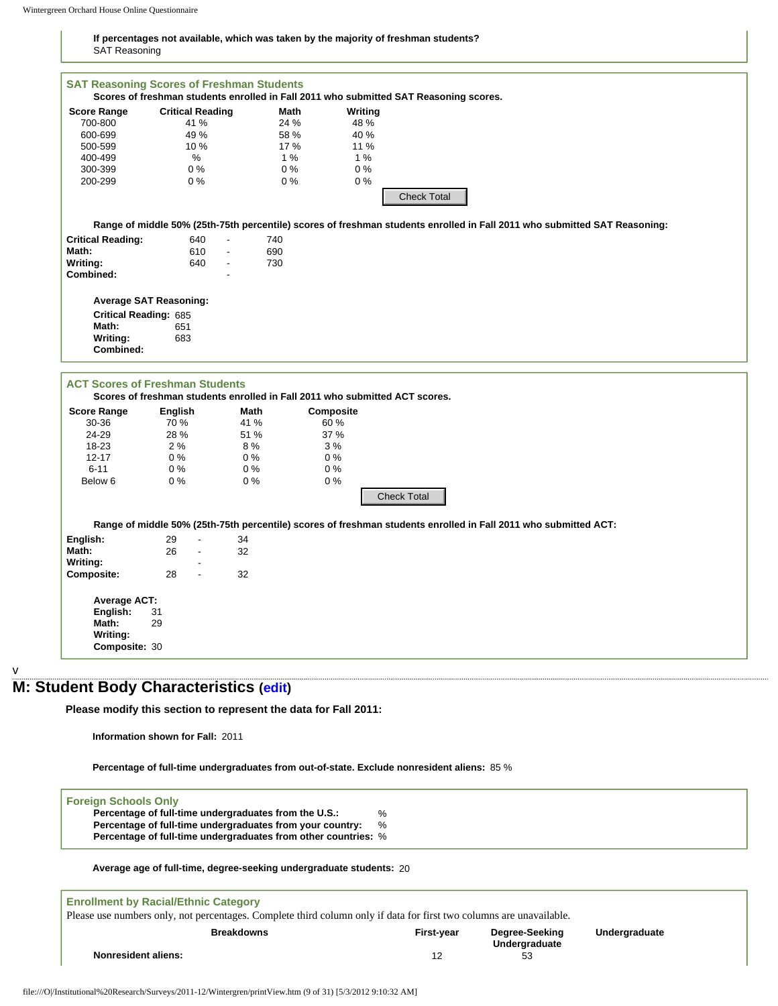#### **If percentages not available, which was taken by the majority of freshman students?** SAT Reasoning

|                                                      |                                                                 |                   |                                                                                            | Scores of freshman students enrolled in Fall 2011 who submitted SAT Reasoning scores. |                                                                                                                           |               |
|------------------------------------------------------|-----------------------------------------------------------------|-------------------|--------------------------------------------------------------------------------------------|---------------------------------------------------------------------------------------|---------------------------------------------------------------------------------------------------------------------------|---------------|
| <b>Score Range</b>                                   | <b>Critical Reading</b>                                         | Math              | Writing                                                                                    |                                                                                       |                                                                                                                           |               |
| 700-800                                              | 41 %                                                            | 24 %              | 48 %                                                                                       |                                                                                       |                                                                                                                           |               |
| 600-699                                              | 49 %                                                            | 58 %              | 40 %                                                                                       |                                                                                       |                                                                                                                           |               |
| 500-599                                              | 10 %                                                            | 17 %              | 11 %                                                                                       |                                                                                       |                                                                                                                           |               |
| 400-499                                              | %                                                               | 1%                | 1%                                                                                         |                                                                                       |                                                                                                                           |               |
| 300-399                                              | $0\%$                                                           | $0\%$             | 0%                                                                                         |                                                                                       |                                                                                                                           |               |
| 200-299                                              | $0\%$                                                           | $0\%$             | 0%                                                                                         |                                                                                       |                                                                                                                           |               |
|                                                      |                                                                 |                   |                                                                                            |                                                                                       |                                                                                                                           |               |
|                                                      |                                                                 |                   |                                                                                            | <b>Check Total</b>                                                                    |                                                                                                                           |               |
|                                                      |                                                                 |                   |                                                                                            |                                                                                       |                                                                                                                           |               |
|                                                      |                                                                 |                   |                                                                                            |                                                                                       | Range of middle 50% (25th-75th percentile) scores of freshman students enrolled in Fall 2011 who submitted SAT Reasoning: |               |
| <b>Critical Reading:</b>                             | 640<br>$\blacksquare$                                           | 740               |                                                                                            |                                                                                       |                                                                                                                           |               |
|                                                      | $\blacksquare$                                                  |                   |                                                                                            |                                                                                       |                                                                                                                           |               |
| Math:                                                | 610                                                             | 690               |                                                                                            |                                                                                       |                                                                                                                           |               |
| Writing:                                             | 640<br>$\overline{\phantom{a}}$                                 | 730               |                                                                                            |                                                                                       |                                                                                                                           |               |
| Combined:                                            |                                                                 |                   |                                                                                            |                                                                                       |                                                                                                                           |               |
|                                                      |                                                                 |                   |                                                                                            |                                                                                       |                                                                                                                           |               |
|                                                      | <b>Average SAT Reasoning:</b>                                   |                   |                                                                                            |                                                                                       |                                                                                                                           |               |
| <b>Critical Reading: 685</b>                         |                                                                 |                   |                                                                                            |                                                                                       |                                                                                                                           |               |
| Math:                                                | 651                                                             |                   |                                                                                            |                                                                                       |                                                                                                                           |               |
|                                                      |                                                                 |                   |                                                                                            |                                                                                       |                                                                                                                           |               |
| Writing:                                             | 683                                                             |                   |                                                                                            |                                                                                       |                                                                                                                           |               |
| Combined:                                            |                                                                 |                   |                                                                                            |                                                                                       |                                                                                                                           |               |
|                                                      |                                                                 |                   |                                                                                            |                                                                                       |                                                                                                                           |               |
|                                                      |                                                                 |                   |                                                                                            |                                                                                       |                                                                                                                           |               |
|                                                      | <b>ACT Scores of Freshman Students</b>                          |                   |                                                                                            |                                                                                       |                                                                                                                           |               |
|                                                      |                                                                 |                   | Scores of freshman students enrolled in Fall 2011 who submitted ACT scores.                |                                                                                       |                                                                                                                           |               |
| <b>Score Range</b>                                   | English                                                         | Math              | Composite                                                                                  |                                                                                       |                                                                                                                           |               |
| 30-36                                                | 70 %                                                            | 41 %              | 60 %                                                                                       |                                                                                       |                                                                                                                           |               |
|                                                      |                                                                 |                   |                                                                                            |                                                                                       |                                                                                                                           |               |
| 24-29                                                | 28 %                                                            | 51 %              | 37 %                                                                                       |                                                                                       |                                                                                                                           |               |
| 18-23                                                | 2%                                                              | 8%                | 3%                                                                                         |                                                                                       |                                                                                                                           |               |
| $12 - 17$                                            | $0\%$                                                           | $0\%$             | $0\%$                                                                                      |                                                                                       |                                                                                                                           |               |
| $6 - 11$                                             | $0\%$                                                           | $0\%$             | $0\%$                                                                                      |                                                                                       |                                                                                                                           |               |
| Below 6                                              | $0\%$                                                           | $0\%$             | $0\%$                                                                                      |                                                                                       |                                                                                                                           |               |
|                                                      |                                                                 |                   |                                                                                            |                                                                                       |                                                                                                                           |               |
|                                                      |                                                                 |                   |                                                                                            |                                                                                       |                                                                                                                           |               |
|                                                      |                                                                 |                   |                                                                                            | <b>Check Total</b>                                                                    | Range of middle 50% (25th-75th percentile) scores of freshman students enrolled in Fall 2011 who submitted ACT:           |               |
| English:<br>Math:                                    | 29<br>$\blacksquare$<br>26<br>$\blacksquare$                    | 34<br>32          |                                                                                            |                                                                                       |                                                                                                                           |               |
|                                                      |                                                                 |                   |                                                                                            |                                                                                       |                                                                                                                           |               |
|                                                      | 28<br>$\overline{\phantom{a}}$                                  | 32                |                                                                                            |                                                                                       |                                                                                                                           |               |
|                                                      |                                                                 |                   |                                                                                            |                                                                                       |                                                                                                                           |               |
|                                                      |                                                                 |                   |                                                                                            |                                                                                       |                                                                                                                           |               |
| Writing:<br><b>Composite:</b><br><b>Average ACT:</b> |                                                                 |                   |                                                                                            |                                                                                       |                                                                                                                           |               |
| English:                                             | 31                                                              |                   |                                                                                            |                                                                                       |                                                                                                                           |               |
| Math:                                                | 29                                                              |                   |                                                                                            |                                                                                       |                                                                                                                           |               |
| Writing:                                             |                                                                 |                   |                                                                                            |                                                                                       |                                                                                                                           |               |
| Composite: 30                                        |                                                                 |                   |                                                                                            |                                                                                       |                                                                                                                           |               |
|                                                      |                                                                 |                   |                                                                                            |                                                                                       |                                                                                                                           |               |
|                                                      |                                                                 |                   |                                                                                            |                                                                                       |                                                                                                                           |               |
|                                                      |                                                                 |                   |                                                                                            |                                                                                       |                                                                                                                           |               |
|                                                      | : Student Body Characteristics (edit)                           |                   |                                                                                            |                                                                                       |                                                                                                                           |               |
|                                                      |                                                                 |                   |                                                                                            |                                                                                       |                                                                                                                           |               |
|                                                      | Please modify this section to represent the data for Fall 2011: |                   |                                                                                            |                                                                                       |                                                                                                                           |               |
|                                                      |                                                                 |                   |                                                                                            |                                                                                       |                                                                                                                           |               |
|                                                      | Information shown for Fall: 2011                                |                   |                                                                                            |                                                                                       |                                                                                                                           |               |
|                                                      |                                                                 |                   |                                                                                            |                                                                                       |                                                                                                                           |               |
|                                                      |                                                                 |                   |                                                                                            |                                                                                       |                                                                                                                           |               |
|                                                      |                                                                 |                   | Percentage of full-time undergraduates from out-of-state. Exclude nonresident aliens: 85 % |                                                                                       |                                                                                                                           |               |
|                                                      |                                                                 |                   |                                                                                            |                                                                                       |                                                                                                                           |               |
|                                                      |                                                                 |                   |                                                                                            |                                                                                       |                                                                                                                           |               |
|                                                      |                                                                 |                   |                                                                                            |                                                                                       |                                                                                                                           |               |
|                                                      | Percentage of full-time undergraduates from the U.S.:           |                   | %                                                                                          |                                                                                       |                                                                                                                           |               |
|                                                      | Percentage of full-time undergraduates from your country:       |                   | %                                                                                          |                                                                                       |                                                                                                                           |               |
|                                                      |                                                                 |                   |                                                                                            |                                                                                       |                                                                                                                           |               |
| <b>Foreign Schools Only</b>                          | Percentage of full-time undergraduates from other countries: %  |                   |                                                                                            |                                                                                       |                                                                                                                           |               |
|                                                      |                                                                 |                   |                                                                                            |                                                                                       |                                                                                                                           |               |
|                                                      |                                                                 |                   | Average age of full-time, degree-seeking undergraduate students: 20                        |                                                                                       |                                                                                                                           |               |
|                                                      |                                                                 |                   |                                                                                            |                                                                                       |                                                                                                                           |               |
|                                                      |                                                                 |                   |                                                                                            |                                                                                       |                                                                                                                           |               |
|                                                      | <b>Enrollment by Racial/Ethnic Category</b>                     |                   |                                                                                            |                                                                                       |                                                                                                                           |               |
|                                                      |                                                                 |                   |                                                                                            |                                                                                       | Please use numbers only, not percentages. Complete third column only if data for first two columns are unavailable.       |               |
|                                                      |                                                                 | <b>Breakdowns</b> |                                                                                            | First-year                                                                            | Degree-Seeking                                                                                                            | Undergraduate |
|                                                      |                                                                 |                   |                                                                                            |                                                                                       |                                                                                                                           |               |
| <b>Nonresident aliens:</b>                           |                                                                 |                   |                                                                                            | 12                                                                                    | Undergraduate<br>53                                                                                                       |               |

# **M: Student Body Characteristics [\(edit\)](http://survey.wgoh.com/secure/sectionMView.htm)**

```
Foreign Schools Only
```
v

| Percentage of full-time undergraduates from the U.S.:          | % |
|----------------------------------------------------------------|---|
| Percentage of full-time undergraduates from your country:      | % |
| Percentage of full-time undergraduates from other countries: % |   |

#### **Average age of full-time, degree-seeking undergraduate students:** 20

| <b>Enrollment by Racial/Ethnic Category</b>                                                                         |                   |                     |               |  |  |
|---------------------------------------------------------------------------------------------------------------------|-------------------|---------------------|---------------|--|--|
| Please use numbers only, not percentages. Complete third column only if data for first two columns are unavailable. |                   |                     |               |  |  |
| <b>Breakdowns</b>                                                                                                   | <b>First-vear</b> | Degree-Seeking      | Undergraduate |  |  |
| <b>Nonresident aliens:</b>                                                                                          | 12                | Undergraduate<br>53 |               |  |  |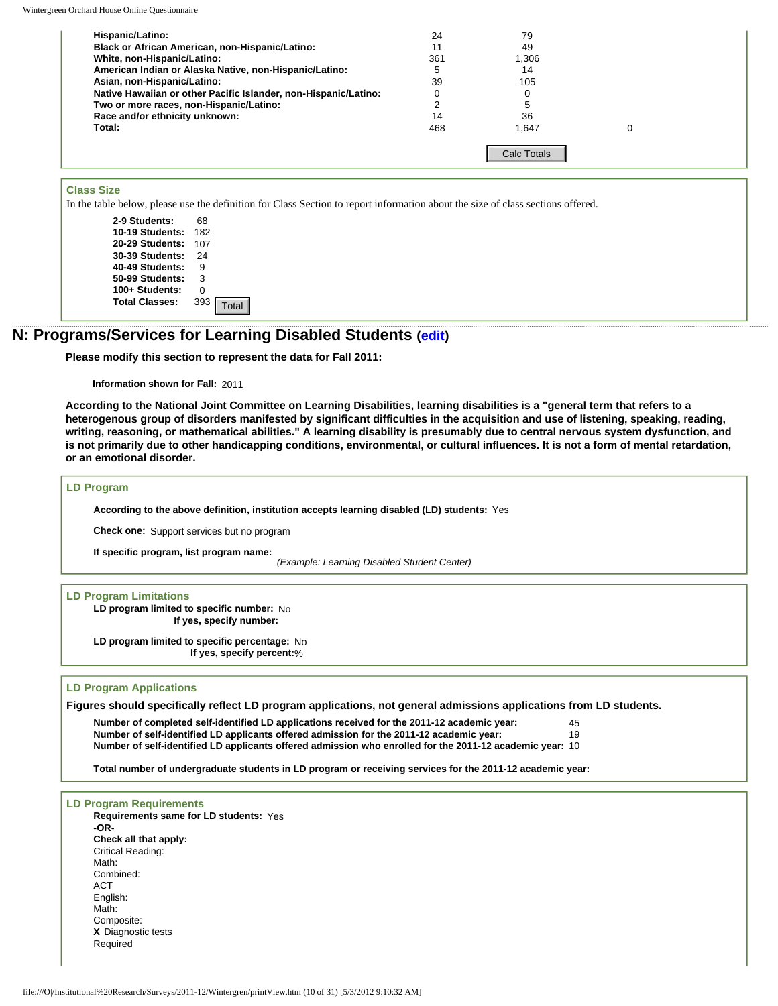Wintergreen Orchard House Online Questionnaire

| Hispanic/Latino:                                                | 24  | 79                 |  |
|-----------------------------------------------------------------|-----|--------------------|--|
| Black or African American, non-Hispanic/Latino:                 | 11  | 49                 |  |
| White, non-Hispanic/Latino:                                     | 361 | 1.306              |  |
| American Indian or Alaska Native, non-Hispanic/Latino:          | b   | 14                 |  |
| Asian, non-Hispanic/Latino:                                     | 39  | 105                |  |
| Native Hawaiian or other Pacific Islander, non-Hispanic/Latino: |     |                    |  |
| Two or more races, non-Hispanic/Latino:                         |     |                    |  |
| Race and/or ethnicity unknown:                                  | 14  | 36                 |  |
| Total:                                                          | 468 | 1.647              |  |
|                                                                 |     | <b>Calc Totals</b> |  |

#### **Class Size**

In the table below, please use the definition for Class Section to report information about the size of class sections offered.

**2-9 Students:** 68 **10-19 Students:** 182 **20-29 Students:** 107 **30-39 Students:** 24 **40-49 Students:** 9 **50-99 Students:** 3 **100+ Students:** 0 **Total Classes:** 393

### **N: Programs/Services for Learning Disabled Students ([edit](http://survey.wgoh.com/secure/sectionNView.htm))**

**Please modify this section to represent the data for Fall 2011:** 

**Information shown for Fall:** 2011

**According to the National Joint Committee on Learning Disabilities, learning disabilities is a "general term that refers to a heterogenous group of disorders manifested by significant difficulties in the acquisition and use of listening, speaking, reading, writing, reasoning, or mathematical abilities." A learning disability is presumably due to central nervous system dysfunction, and is not primarily due to other handicapping conditions, environmental, or cultural influences. It is not a form of mental retardation, or an emotional disorder.** 

#### **LD Program**

**According to the above definition, institution accepts learning disabled (LD) students:** Yes

**Check one:** Support services but no program

**If specific program, list program name:**

*(Example: Learning Disabled Student Center)*

## **LD Program Limitations**

**LD program limited to specific number:** No **If yes, specify number:**

**LD program limited to specific percentage:** No **If yes, specify percent:**%

#### **LD Program Applications**

**Figures should specifically reflect LD program applications, not general admissions applications from LD students.** 

**Number of completed self-identified LD applications received for the 2011-12 academic year:** 45 **Number of self-identified LD applicants offered admission for the 2011-12 academic year:** 19 **Number of self-identified LD applicants offered admission who enrolled for the 2011-12 academic year:** 10

**Total number of undergraduate students in LD program or receiving services for the 2011-12 academic year:**

**LD Program Requirements Requirements same for LD students:** Yes **-OR-Check all that apply:** Critical Reading: Math: Combined: ACT English: Math: Composite: **X** Diagnostic tests **Required** Consistence<br>
Consistence of the distribution for Claus Section to report information about the size of claus section<br>
20 Dependence<br>
20 Dependence<br>
20 Dependence<br>
20 Dependence<br>
20 Dependence<br>
20 Dependence<br>
20 Dependence<br>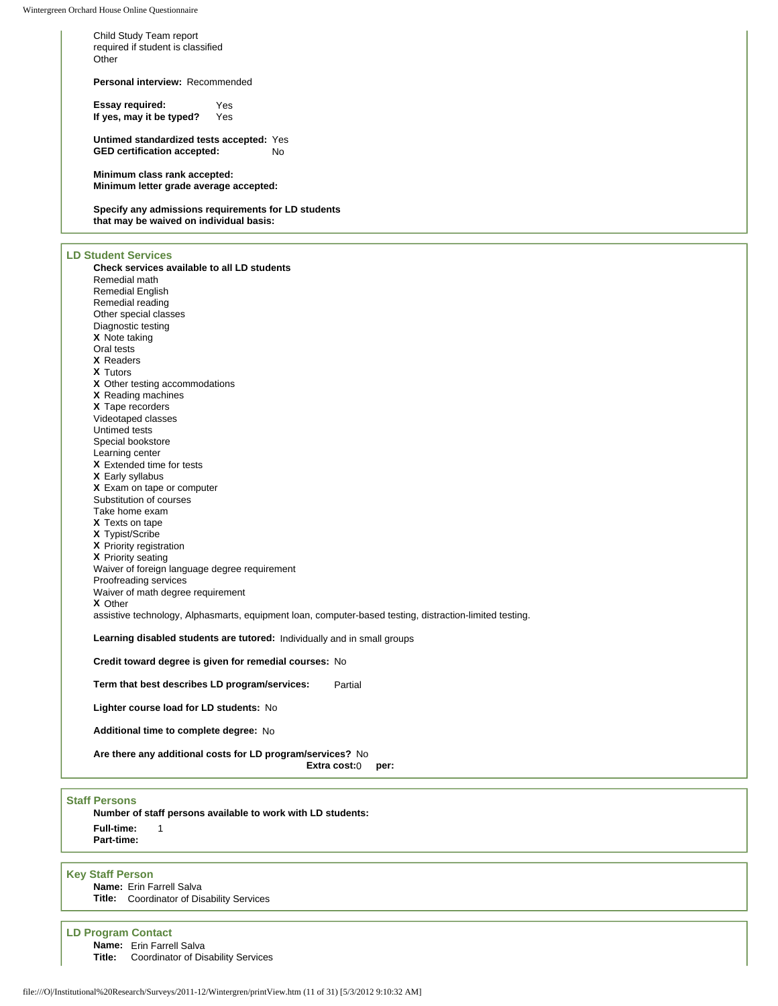Child Study Team report required if student is classified **Other** 

**Personal interview:** Recommended

**Essay required:** Yes<br>If yes, may it be typed? Yes **If yes, may it be typed?** 

**Untimed standardized tests accepted:** Yes **GED certification accepted:** No

**Minimum class rank accepted: Minimum letter grade average accepted:**

**Specify any admissions requirements for LD students that may be waived on individual basis:** 

#### **LD Student Services**

**Check services available to all LD students** Remedial math Remedial English Remedial reading Other special classes Diagnostic testing **X** Note taking Oral tests **X** Readers **X** Tutors **X** Other testing accommodations **X** Reading machines **X** Tape recorders Videotaped classes Untimed tests Special bookstore Learning center **X** Extended time for tests **X** Early syllabus **X** Exam on tape or computer Substitution of courses Take home exam **X** Texts on tape **X** Typist/Scribe **X** Priority registration **X** Priority seating Waiver of foreign language degree requirement Proofreading services Waiver of math degree requirement **X** Other assistive technology, Alphasmarts, equipment loan, computer-based testing, distraction-limited testing. **Learning disabled students are tutored:** Individually and in small groups **Credit toward degree is given for remedial courses:** No

**Term that best describes LD program/services:** Partial

**Lighter course load for LD students:** No

**Additional time to complete degree:** No

**Are there any additional costs for LD program/services?** No

**Extra cost:**0 **per:**

#### **Staff Persons**

**Number of staff persons available to work with LD students: Full-time:** 1 **Part-time:**

#### **Key Staff Person**

**Name:** Erin Farrell Salva **Title:** Coordinator of Disability Services

**LD Program Contact**

**Name:** Erin Farrell Salva

**Title:** Coordinator of Disability Services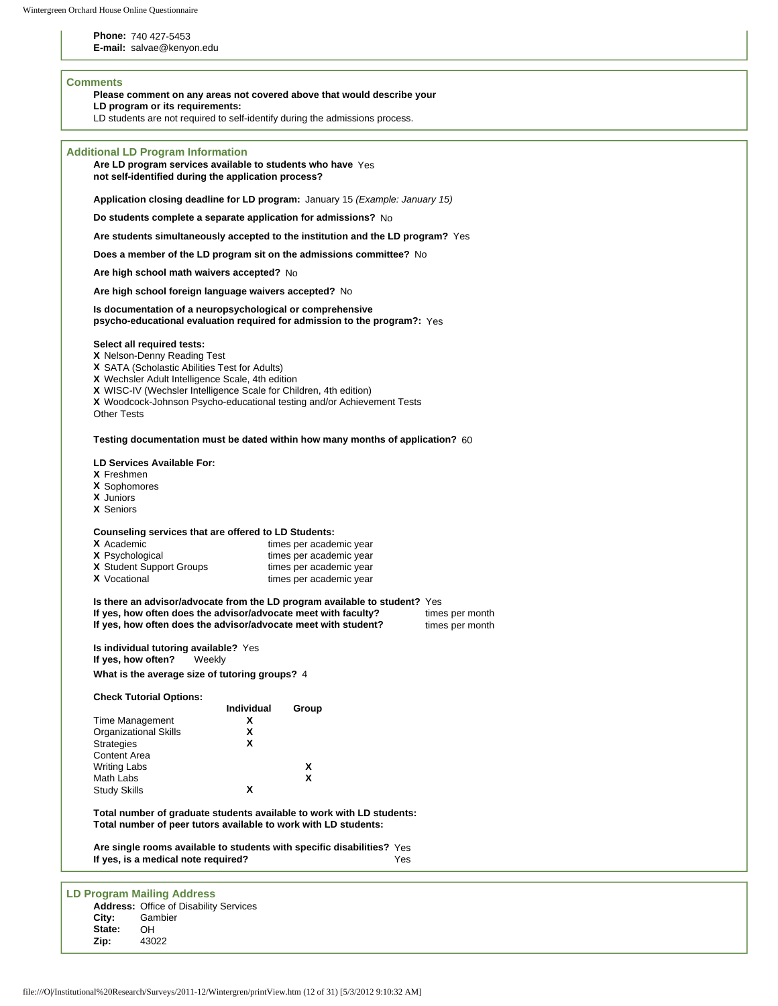**Phone:** 740 427-5453

**E-mail:** salvae@kenyon.edu

### **Comments**

**Please comment on any areas not covered above that would describe your** 

**LD program or its requirements:** 

LD students are not required to self-identify during the admissions process.

| <b>Additional LD Program Information</b>                                                                                                                                                                                                                                                                                            |  |
|-------------------------------------------------------------------------------------------------------------------------------------------------------------------------------------------------------------------------------------------------------------------------------------------------------------------------------------|--|
| Are LD program services available to students who have Yes                                                                                                                                                                                                                                                                          |  |
| not self-identified during the application process?                                                                                                                                                                                                                                                                                 |  |
|                                                                                                                                                                                                                                                                                                                                     |  |
| Application closing deadline for LD program: January 15 (Example: January 15)                                                                                                                                                                                                                                                       |  |
|                                                                                                                                                                                                                                                                                                                                     |  |
| Do students complete a separate application for admissions? No                                                                                                                                                                                                                                                                      |  |
| Are students simultaneously accepted to the institution and the LD program? Yes                                                                                                                                                                                                                                                     |  |
|                                                                                                                                                                                                                                                                                                                                     |  |
| Does a member of the LD program sit on the admissions committee? No                                                                                                                                                                                                                                                                 |  |
| Are high school math waivers accepted? No                                                                                                                                                                                                                                                                                           |  |
| Are high school foreign language waivers accepted? No                                                                                                                                                                                                                                                                               |  |
|                                                                                                                                                                                                                                                                                                                                     |  |
| Is documentation of a neuropsychological or comprehensive<br>psycho-educational evaluation required for admission to the program?: Yes                                                                                                                                                                                              |  |
| Select all required tests:<br><b>X</b> Nelson-Denny Reading Test<br>X SATA (Scholastic Abilities Test for Adults)<br>X Wechsler Adult Intelligence Scale, 4th edition<br>X WISC-IV (Wechsler Intelligence Scale for Children, 4th edition)<br>X Woodcock-Johnson Psycho-educational testing and/or Achievement Tests<br>Other Tests |  |
| Testing documentation must be dated within how many months of application? 60                                                                                                                                                                                                                                                       |  |
|                                                                                                                                                                                                                                                                                                                                     |  |
| LD Services Available For:                                                                                                                                                                                                                                                                                                          |  |
| X Freshmen                                                                                                                                                                                                                                                                                                                          |  |
| X Sophomores<br>X Juniors                                                                                                                                                                                                                                                                                                           |  |
| <b>X</b> Seniors                                                                                                                                                                                                                                                                                                                    |  |
|                                                                                                                                                                                                                                                                                                                                     |  |
| Counseling services that are offered to LD Students:<br>X Academic<br>times per academic year<br><b>X</b> Psychological<br>times per academic year<br>X Student Support Groups<br>times per academic year<br><b>X</b> Vocational<br>times per academic year                                                                         |  |
| Is there an advisor/advocate from the LD program available to student? Yes<br>If yes, how often does the advisor/advocate meet with faculty?<br>times per month<br>If yes, how often does the advisor/advocate meet with student?<br>times per month                                                                                |  |
| Is individual tutoring available? Yes<br>If yes, how often?<br>Weekly                                                                                                                                                                                                                                                               |  |
| What is the average size of tutoring groups? 4                                                                                                                                                                                                                                                                                      |  |
|                                                                                                                                                                                                                                                                                                                                     |  |
| <b>Check Tutorial Options:</b>                                                                                                                                                                                                                                                                                                      |  |
| Individual<br>Group                                                                                                                                                                                                                                                                                                                 |  |
| Time Management<br>x                                                                                                                                                                                                                                                                                                                |  |
| <b>Organizational Skills</b><br>x                                                                                                                                                                                                                                                                                                   |  |
| x<br><b>Strategies</b>                                                                                                                                                                                                                                                                                                              |  |
| <b>Content Area</b>                                                                                                                                                                                                                                                                                                                 |  |
| <b>Writing Labs</b><br>X                                                                                                                                                                                                                                                                                                            |  |
| X<br>Math Labs                                                                                                                                                                                                                                                                                                                      |  |
| x<br><b>Study Skills</b>                                                                                                                                                                                                                                                                                                            |  |
| Total number of graduate students available to work with LD students:<br>Total number of peer tutors available to work with LD students:                                                                                                                                                                                            |  |
|                                                                                                                                                                                                                                                                                                                                     |  |
| Are single rooms available to students with specific disabilities? Yes<br>If yes, is a medical note required?<br>Yes                                                                                                                                                                                                                |  |
|                                                                                                                                                                                                                                                                                                                                     |  |
| <b>LD Program Mailing Address</b>                                                                                                                                                                                                                                                                                                   |  |
| <b>Address: Office of Disability Services</b>                                                                                                                                                                                                                                                                                       |  |
| City:<br>Gambier                                                                                                                                                                                                                                                                                                                    |  |
| State:<br>OН                                                                                                                                                                                                                                                                                                                        |  |
| Zip:<br>43022                                                                                                                                                                                                                                                                                                                       |  |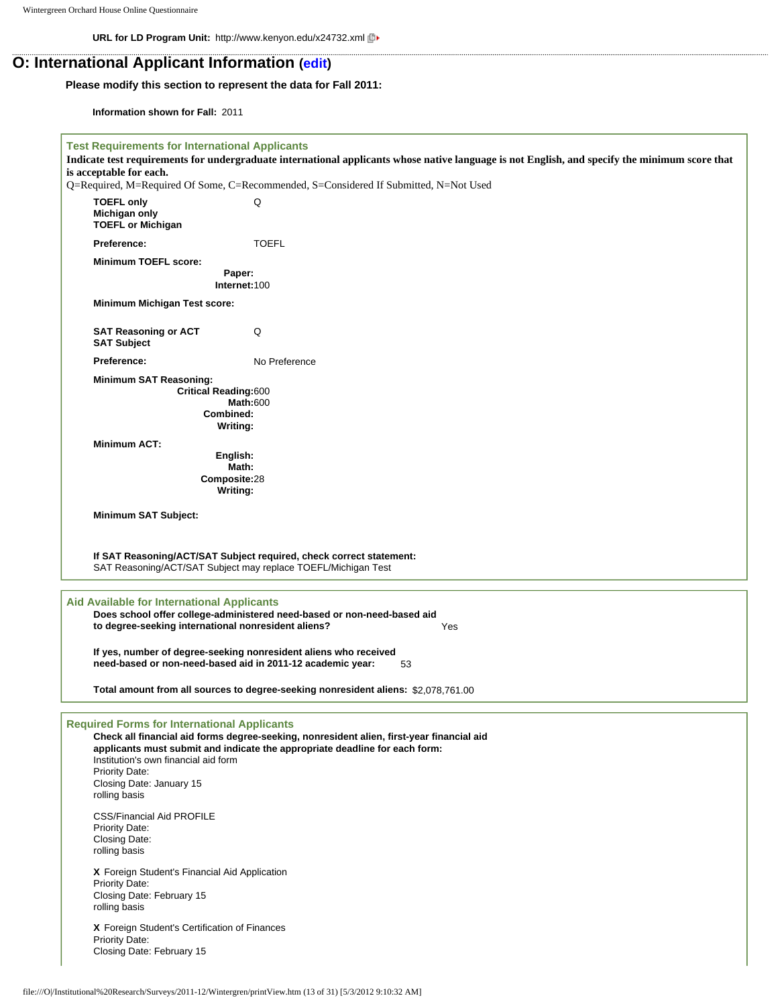**URL for LD Program Unit:** http://www.kenyon.edu/x24732.xml

## **O: International Applicant Information ([edit](http://survey.wgoh.com/secure/sectionOView.htm))**

### **Please modify this section to represent the data for Fall 2011:**

**Information shown for Fall:** 2011

| <b>Test Requirements for International Applicants</b>                                                                                                     |                                                                                                                                                                          |
|-----------------------------------------------------------------------------------------------------------------------------------------------------------|--------------------------------------------------------------------------------------------------------------------------------------------------------------------------|
| is acceptable for each.                                                                                                                                   | Indicate test requirements for undergraduate international applicants whose native language is not English, and specify the minimum score that                           |
|                                                                                                                                                           | Q=Required, M=Required Of Some, C=Recommended, S=Considered If Submitted, N=Not Used                                                                                     |
| <b>TOEFL only</b><br>Michigan only<br><b>TOEFL or Michigan</b>                                                                                            | Q                                                                                                                                                                        |
| Preference:                                                                                                                                               | <b>TOEFL</b>                                                                                                                                                             |
| <b>Minimum TOEFL score:</b>                                                                                                                               |                                                                                                                                                                          |
|                                                                                                                                                           | Paper:<br>Internet:100                                                                                                                                                   |
| Minimum Michigan Test score:                                                                                                                              |                                                                                                                                                                          |
| <b>SAT Reasoning or ACT</b><br><b>SAT Subject</b>                                                                                                         | Q                                                                                                                                                                        |
| Preference:                                                                                                                                               | No Preference                                                                                                                                                            |
| <b>Minimum SAT Reasoning:</b><br><b>Critical Reading:600</b>                                                                                              | <b>Math:600</b><br>Combined:<br>Writing:                                                                                                                                 |
| <b>Minimum ACT:</b>                                                                                                                                       |                                                                                                                                                                          |
|                                                                                                                                                           | English:<br>Math:                                                                                                                                                        |
|                                                                                                                                                           | Composite:28                                                                                                                                                             |
|                                                                                                                                                           | Writing:                                                                                                                                                                 |
| <b>Minimum SAT Subject:</b>                                                                                                                               |                                                                                                                                                                          |
|                                                                                                                                                           |                                                                                                                                                                          |
|                                                                                                                                                           | If SAT Reasoning/ACT/SAT Subject required, check correct statement:<br>SAT Reasoning/ACT/SAT Subject may replace TOEFL/Michigan Test                                     |
| <b>Aid Available for International Applicants</b><br>to degree-seeking international nonresident aliens?                                                  | Does school offer college-administered need-based or non-need-based aid<br>Yes                                                                                           |
|                                                                                                                                                           | If yes, number of degree-seeking nonresident aliens who received<br>need-based or non-need-based aid in 2011-12 academic year:<br>53                                     |
|                                                                                                                                                           | Total amount from all sources to degree-seeking nonresident aliens: \$2,078,761.00                                                                                       |
| <b>Required Forms for International Applicants</b><br>Institution's own financial aid form<br>Priority Date:<br>Closing Date: January 15<br>rolling basis | Check all financial aid forms degree-seeking, nonresident alien, first-year financial aid<br>applicants must submit and indicate the appropriate deadline for each form: |
| <b>CSS/Financial Aid PROFILE</b><br><b>Priority Date:</b><br>Closing Date:<br>rolling basis                                                               |                                                                                                                                                                          |
| X Foreign Student's Financial Aid Application<br><b>Priority Date:</b><br>Closing Date: February 15<br>rolling basis                                      |                                                                                                                                                                          |
| X Foreign Student's Certification of Finances<br><b>Priority Date:</b><br>Closing Date: February 15                                                       |                                                                                                                                                                          |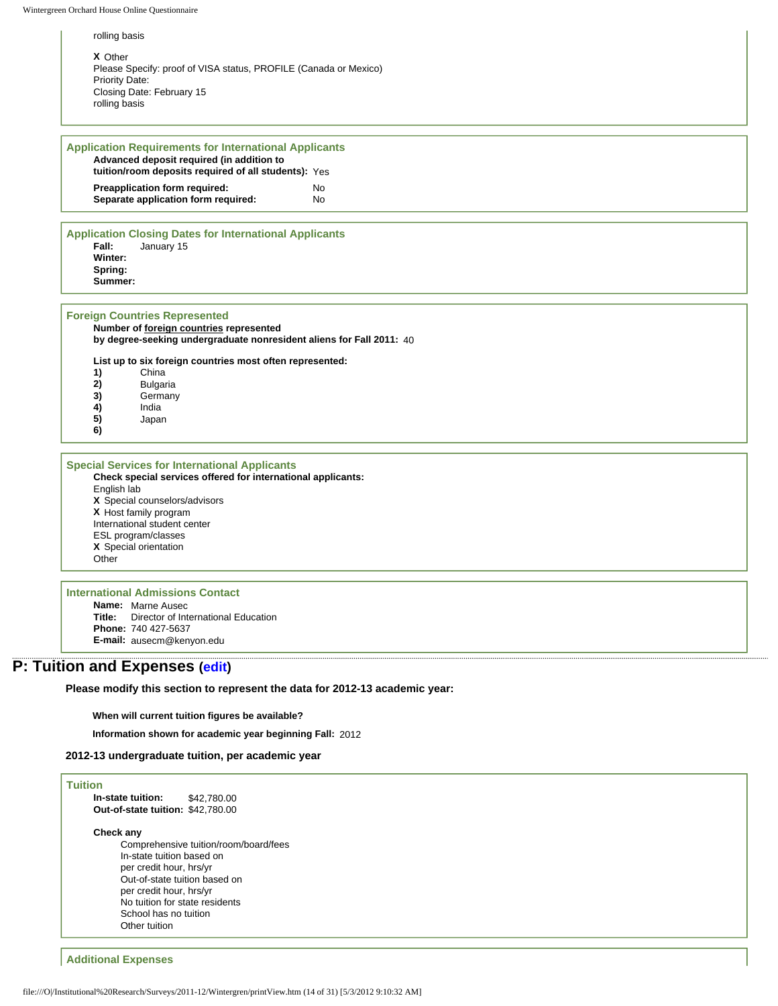rolling basis

**X** Other Please Specify: proof of VISA status, PROFILE (Canada or Mexico) Priority Date: Closing Date: February 15 rolling basis

#### **Application Requirements for International Applicants Advanced deposit required (in addition to tuition/room deposits required of all students):** Yes **Preapplication form required:** No **Separate application form required:** No

#### **Application Closing Dates for International Applicants Fall:** January 15 **Winter: Spring: Summer:**

#### **Foreign Countries Represented**

**Number of foreign countries represented by degree-seeking undergraduate nonresident aliens for Fall 2011:** 40

**List up to six foreign countries most often represented:**

- **1)** China
- **2)** Bulgaria<br>**3)** Germany
- **3)** Germany
- **4)** India
- **5)** Japan
- **6)**

**Special Services for International Applicants Check special services offered for international applicants:**

English lab **X** Special counselors/advisors **X** Host family program International student center ESL program/classes **X** Special orientation **Other** 

### **International Admissions Contact**

**Name:** Marne Ausec **Title:** Director of International Education **Phone:** 740 427-5637 **E-mail:** ausecm@kenyon.edu

## **P: Tuition and Expenses [\(edit\)](http://survey.wgoh.com/secure/sectionPView.htm)**

**Please modify this section to represent the data for 2012-13 academic year:** 

**When will current tuition figures be available?**

**Information shown for academic year beginning Fall:** 2012

#### **2012-13 undergraduate tuition, per academic year**

#### **Tuition In-state tuition:** \$42,780.00 **Out-of-state tuition:** \$42,780.00

#### **Check any**

Comprehensive tuition/room/board/fees In-state tuition based on per credit hour, hrs/yr Out-of-state tuition based on per credit hour, hrs/yr No tuition for state residents School has no tuition Other tuition

### **Additional Expenses**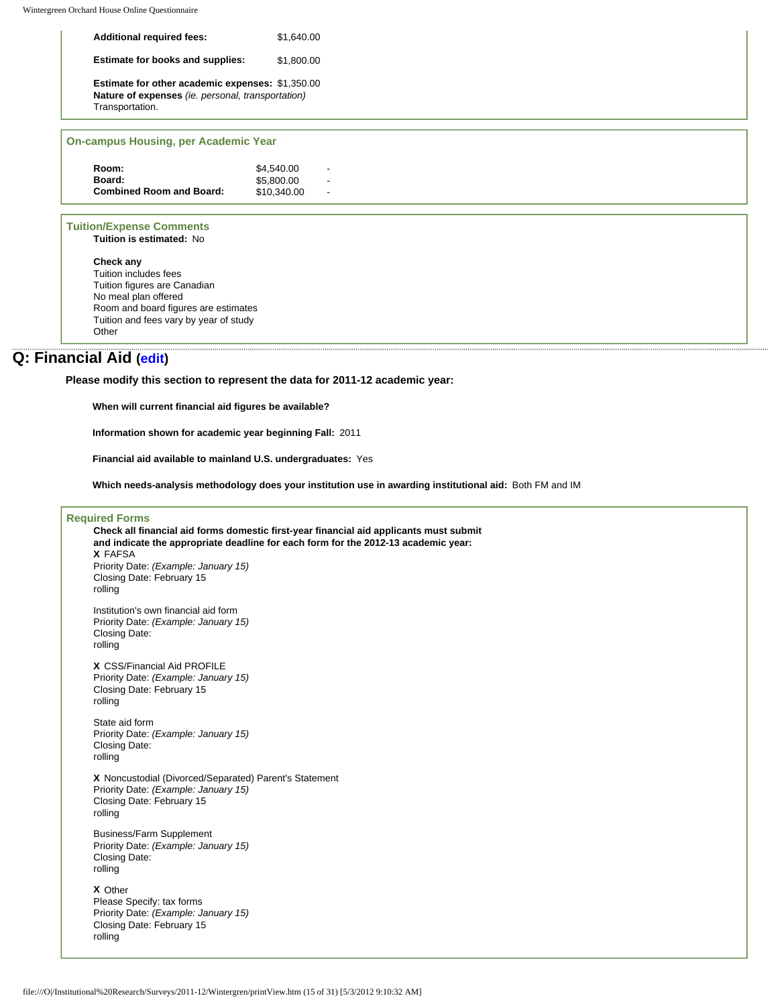| <b>Additional required fees:</b>                                                                                                | \$1.640.00 |
|---------------------------------------------------------------------------------------------------------------------------------|------------|
| <b>Estimate for books and supplies:</b>                                                                                         | \$1.800.00 |
| <b>Estimate for other academic expenses: \$1,350.00</b><br>Nature of expenses (ie. personal, transportation)<br>Transportation. |            |
|                                                                                                                                 |            |

### **On-campus Housing, per Academic Year**

| Room:                           | \$4.540.00  |   |
|---------------------------------|-------------|---|
| Board:                          | \$5,800,00  | - |
| <b>Combined Room and Board:</b> | \$10,340.00 |   |

#### **Tuition/Expense Comments**

**Tuition is estimated:** No

**Check any** Tuition includes fees Tuition figures are Canadian No meal plan offered Room and board figures are estimates Tuition and fees vary by year of study **Other** 

## **Q: Financial Aid ([edit](http://survey.wgoh.com/secure/sectionQView.htm))**

**Please modify this section to represent the data for 2011-12 academic year:** 

**When will current financial aid figures be available?**

**Information shown for academic year beginning Fall:** 2011

**Financial aid available to mainland U.S. undergraduates:** Yes

**Which needs-analysis methodology does your institution use in awarding institutional aid:** Both FM and IM

#### **Required Forms**

**Check all financial aid forms domestic first-year financial aid applicants must submit and indicate the appropriate deadline for each form for the 2012-13 academic year: X** FAFSA Priority Date: *(Example: January 15)* Closing Date: February 15 rolling Institution's own financial aid form Priority Date: *(Example: January 15)* Closing Date: rolling **X** CSS/Financial Aid PROFILE Priority Date: *(Example: January 15)* Closing Date: February 15 rolling State aid form Priority Date: *(Example: January 15)* Closing Date: rolling **X** Noncustodial (Divorced/Separated) Parent's Statement Priority Date: *(Example: January 15)* Closing Date: February 15 rolling Business/Farm Supplement Priority Date: *(Example: January 15)* Closing Date: rolling **X** Other Please Specify: tax forms Priority Date: *(Example: January 15)* Closing Date: February 15 rolling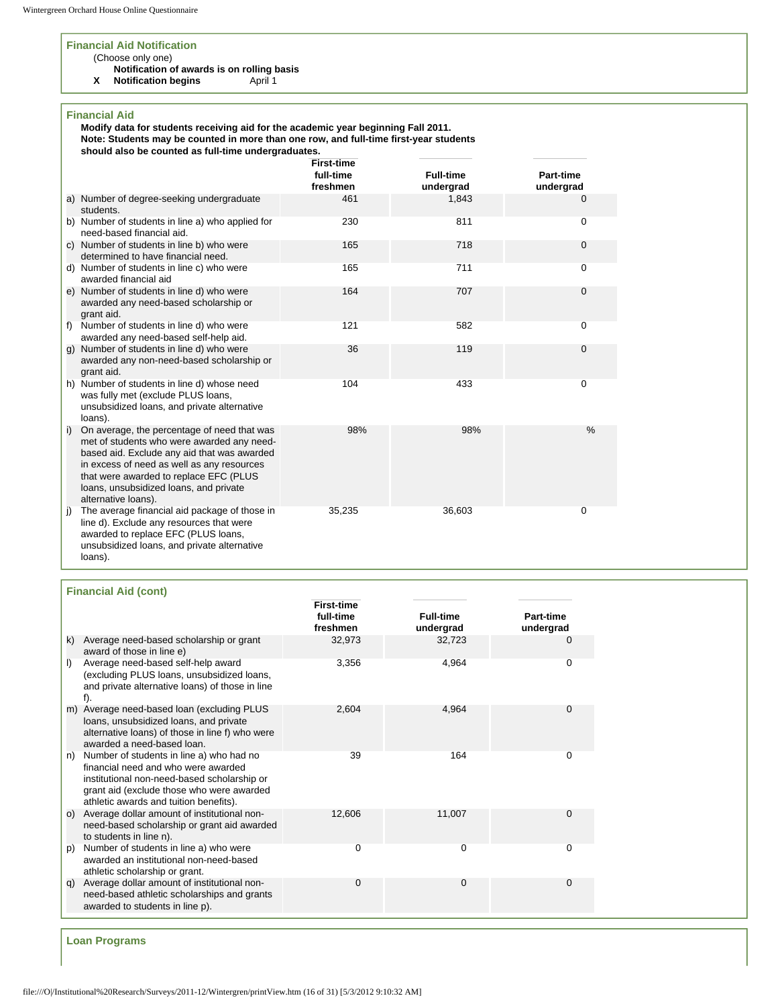#### **Financial Aid Notification**

### (Choose only one)

**Notification of awards is on rolling basis**

**X** Notification begins **April 1** 

### **Financial Aid**

**Modify data for students receiving aid for the academic year beginning Fall 2011.** 

**Note: Students may be counted in more than one row, and full-time first-year students should also be counted as full-time undergraduates.** 

|    |                                                                                                                                                                                                                                                                                                   | <b>First-time</b><br>full-time<br>freshmen | <b>Full-time</b><br>undergrad | Part-time<br>undergrad |
|----|---------------------------------------------------------------------------------------------------------------------------------------------------------------------------------------------------------------------------------------------------------------------------------------------------|--------------------------------------------|-------------------------------|------------------------|
|    | a) Number of degree-seeking undergraduate<br>students.                                                                                                                                                                                                                                            | 461                                        | 1,843                         | 0                      |
|    | b) Number of students in line a) who applied for<br>need-based financial aid.                                                                                                                                                                                                                     | 230                                        | 811                           | 0                      |
|    | c) Number of students in line b) who were<br>determined to have financial need.                                                                                                                                                                                                                   | 165                                        | 718                           | $\mathbf{0}$           |
|    | d) Number of students in line c) who were<br>awarded financial aid                                                                                                                                                                                                                                | 165                                        | 711                           | 0                      |
|    | e) Number of students in line d) who were<br>awarded any need-based scholarship or<br>grant aid.                                                                                                                                                                                                  | 164                                        | 707                           | 0                      |
| f) | Number of students in line d) who were<br>awarded any need-based self-help aid.                                                                                                                                                                                                                   | 121                                        | 582                           | 0                      |
|    | g) Number of students in line d) who were<br>awarded any non-need-based scholarship or<br>grant aid.                                                                                                                                                                                              | 36                                         | 119                           | $\mathbf{0}$           |
| h) | Number of students in line d) whose need<br>was fully met (exclude PLUS loans,<br>unsubsidized loans, and private alternative<br>loans).                                                                                                                                                          | 104                                        | 433                           | 0                      |
| i) | On average, the percentage of need that was<br>met of students who were awarded any need-<br>based aid. Exclude any aid that was awarded<br>in excess of need as well as any resources<br>that were awarded to replace EFC (PLUS<br>loans, unsubsidized loans, and private<br>alternative loans). | 98%                                        | 98%                           | $\frac{0}{0}$          |
| j) | The average financial aid package of those in<br>line d). Exclude any resources that were<br>awarded to replace EFC (PLUS loans,<br>unsubsidized loans, and private alternative<br>loans).                                                                                                        | 35,235                                     | 36,603                        | 0                      |

| <b>Financial Aid (cont)</b> |  |
|-----------------------------|--|
|-----------------------------|--|

|    |                                                                                                                                                                                                                       | <b>First-time</b>     |                               |                        |
|----|-----------------------------------------------------------------------------------------------------------------------------------------------------------------------------------------------------------------------|-----------------------|-------------------------------|------------------------|
|    |                                                                                                                                                                                                                       | full-time<br>freshmen | <b>Full-time</b><br>undergrad | Part-time<br>undergrad |
| k) | Average need-based scholarship or grant<br>award of those in line e)                                                                                                                                                  | 32,973                | 32,723                        | 0                      |
| I) | Average need-based self-help award<br>(excluding PLUS loans, unsubsidized loans,<br>and private alternative loans) of those in line<br>f).                                                                            | 3,356                 | 4,964                         | 0                      |
| m) | Average need-based loan (excluding PLUS<br>loans, unsubsidized loans, and private<br>alternative loans) of those in line f) who were<br>awarded a need-based loan.                                                    | 2.604                 | 4.964                         | $\mathbf 0$            |
| n) | Number of students in line a) who had no<br>financial need and who were awarded<br>institutional non-need-based scholarship or<br>grant aid (exclude those who were awarded<br>athletic awards and tuition benefits). | 39                    | 164                           | 0                      |
| O) | Average dollar amount of institutional non-<br>need-based scholarship or grant aid awarded<br>to students in line n).                                                                                                 | 12,606                | 11,007                        | $\mathbf 0$            |
| p) | Number of students in line a) who were<br>awarded an institutional non-need-based<br>athletic scholarship or grant.                                                                                                   | $\Omega$              | $\Omega$                      | $\mathbf 0$            |
| q) | Average dollar amount of institutional non-<br>need-based athletic scholarships and grants<br>awarded to students in line p).                                                                                         | $\Omega$              | $\Omega$                      | $\mathbf{0}$           |

**Loan Programs**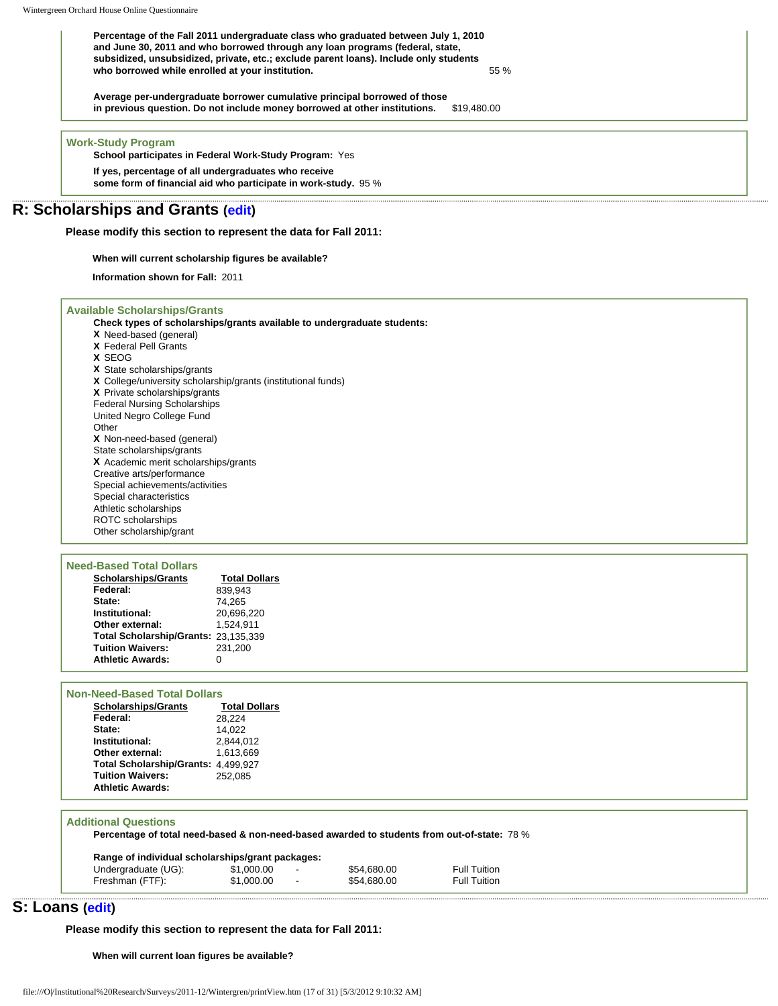**Percentage of the Fall 2011 undergraduate class who graduated between July 1, 2010 and June 30, 2011 and who borrowed through any loan programs (federal, state, subsidized, unsubsidized, private, etc.; exclude parent loans). Include only students who borrowed while enrolled at your institution.** 55 %

**Average per-undergraduate borrower cumulative principal borrowed of those in previous question. Do not include money borrowed at other institutions.** \$19,480.00

#### **Work-Study Program**

**School participates in Federal Work-Study Program:** Yes

**If yes, percentage of all undergraduates who receive some form of financial aid who participate in work-study.** 95 %

### **R: Scholarships and Grants [\(edit\)](http://survey.wgoh.com/secure/sectionRView.htm)**

**Please modify this section to represent the data for Fall 2011:** 

#### **When will current scholarship figures be available?**

**Information shown for Fall:** 2011

#### **Available Scholarships/Grants**

**Check types of scholarships/grants available to undergraduate students:**

- **X** Need-based (general) **X** Federal Pell Grants
- **X** SEOG
- **X** State scholarships/grants
- **X** College/university scholarship/grants (institutional funds)

**X** Private scholarships/grants

Federal Nursing Scholarships United Negro College Fund

**Other** 

- **X** Non-need-based (general)
- State scholarships/grants

**X** Academic merit scholarships/grants Creative arts/performance

- Special achievements/activities
- Special characteristics

Athletic scholarships

ROTC scholarships

Other scholarship/grant

| <b>Need-Based Total Dollars</b> |                                      |                      |
|---------------------------------|--------------------------------------|----------------------|
|                                 | <b>Scholarships/Grants</b>           | <b>Total Dollars</b> |
| Federal:                        |                                      | 839.943              |
| State:                          |                                      | 74.265               |
| Institutional:                  |                                      | 20,696,220           |
| Other external:                 |                                      | 1.524.911            |
|                                 | Total Scholarship/Grants: 23,135,339 |                      |
| <b>Tuition Waivers:</b>         |                                      | 231.200              |
| <b>Athletic Awards:</b>         |                                      |                      |

#### **Non-Need-Based Total Dollars**

| <b>Scholarships/Grants</b>          | <b>Total Dollars</b> |
|-------------------------------------|----------------------|
| Federal:                            | 28.224               |
| State:                              | 14.022               |
| Institutional:                      | 2,844,012            |
| Other external:                     | 1.613.669            |
| Total Scholarship/Grants: 4,499,927 |                      |
| <b>Tuition Waivers:</b>             | 252.085              |
| <b>Athletic Awards:</b>             |                      |

#### **Additional Questions**

**Percentage of total need-based & non-need-based awarded to students from out-of-state:** 78 %

| Range of individual scholarships/grant packages: |            |  |             |                     |  |
|--------------------------------------------------|------------|--|-------------|---------------------|--|
| Undergraduate (UG):                              | \$1.000.00 |  | \$54,680,00 | <b>Full Tuition</b> |  |
| Freshman (FTF):                                  | \$1,000.00 |  | \$54,680.00 | <b>Full Tuition</b> |  |

### **S: Loans ([edit](http://survey.wgoh.com/secure/sectionSView.htm))**

**Please modify this section to represent the data for Fall 2011:** 

**When will current loan figures be available?**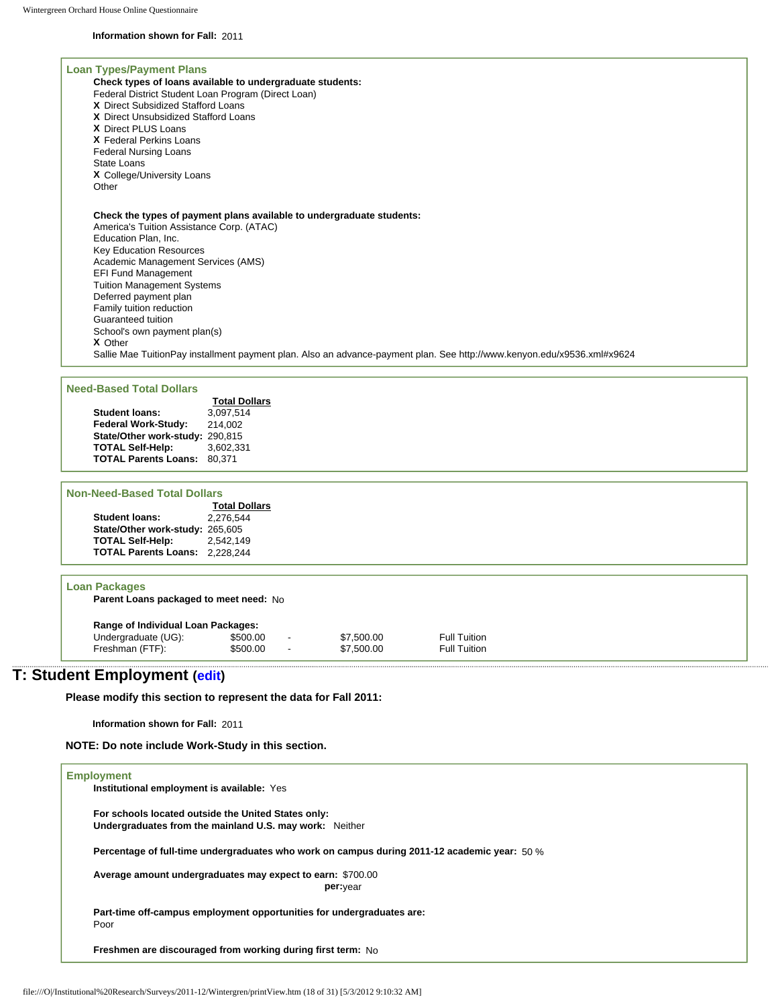#### **Information shown for Fall:** 2011

#### **Loan Types/Payment Plans Check types of loans available to undergraduate students:** Federal District Student Loan Program (Direct Loan) **X** Direct Subsidized Stafford Loans **X** Direct Unsubsidized Stafford Loans **X** Direct PLUS Loans **X** Federal Perkins Loans Federal Nursing Loans State Loans **X** College/University Loans **Other Check the types of payment plans available to undergraduate students:** America's Tuition Assistance Corp. (ATAC) Education Plan, Inc. Key Education Resources Academic Management Services (AMS) EFI Fund Management Tuition Management Systems Deferred payment plan Family tuition reduction Guaranteed tuition School's own payment plan(s) **X** Other Sallie Mae TuitionPay installment payment plan. Also an advance-payment plan. See http://www.kenyon.edu/x9536.xml#x9624

#### **Need-Based Total Dollars**

| I-Based Total Dollars           |                      |
|---------------------------------|----------------------|
|                                 | <b>Total Dollars</b> |
| <b>Student loans:</b>           | 3.097.514            |
| <b>Federal Work-Study:</b>      | 214.002              |
| State/Other work-study: 290,815 |                      |
| <b>TOTAL Self-Help:</b>         | 3.602.331            |
| <b>TOTAL Parents Loans:</b>     | 80.371               |

#### **Non-Need-Based Total Dollars**

|                                 | <b>Total Dollars</b> |
|---------------------------------|----------------------|
| <b>Student loans:</b>           | 2.276.544            |
| State/Other work-study: 265,605 |                      |
| <b>TOTAL Self-Help:</b>         | 2.542.149            |
| <b>TOTAL Parents Loans:</b>     | 2,228,244            |
|                                 |                      |

#### **Loan Packages**

**Parent Loans packaged to meet need:** No

| Range of Individual Loan Packages: |          |                          |            |                     |  |  |
|------------------------------------|----------|--------------------------|------------|---------------------|--|--|
| Undergraduate (UG):                | \$500.00 | $\overline{\phantom{0}}$ | \$7.500.00 | <b>Full Tuition</b> |  |  |
| Freshman (FTF):                    | \$500.00 | $\overline{\phantom{a}}$ | \$7,500.00 | <b>Full Tuition</b> |  |  |

## **T: Student Employment [\(edit\)](http://survey.wgoh.com/secure/sectionTView.htm)**

**Please modify this section to represent the data for Fall 2011:** 

**Information shown for Fall:** 2011

**NOTE: Do note include Work-Study in this section.** 

| <b>Employment</b><br>Institutional employment is available: Yes                                                |
|----------------------------------------------------------------------------------------------------------------|
| For schools located outside the United States only:<br>Undergraduates from the mainland U.S. may work: Neither |
| Percentage of full-time undergraduates who work on campus during 2011-12 academic year: 50 %                   |
| Average amount undergraduates may expect to earn: \$700.00<br>per: <sub>vear</sub>                             |
| Part-time off-campus employment opportunities for undergraduates are:<br>Poor                                  |
| Freshmen are discouraged from working during first term: No                                                    |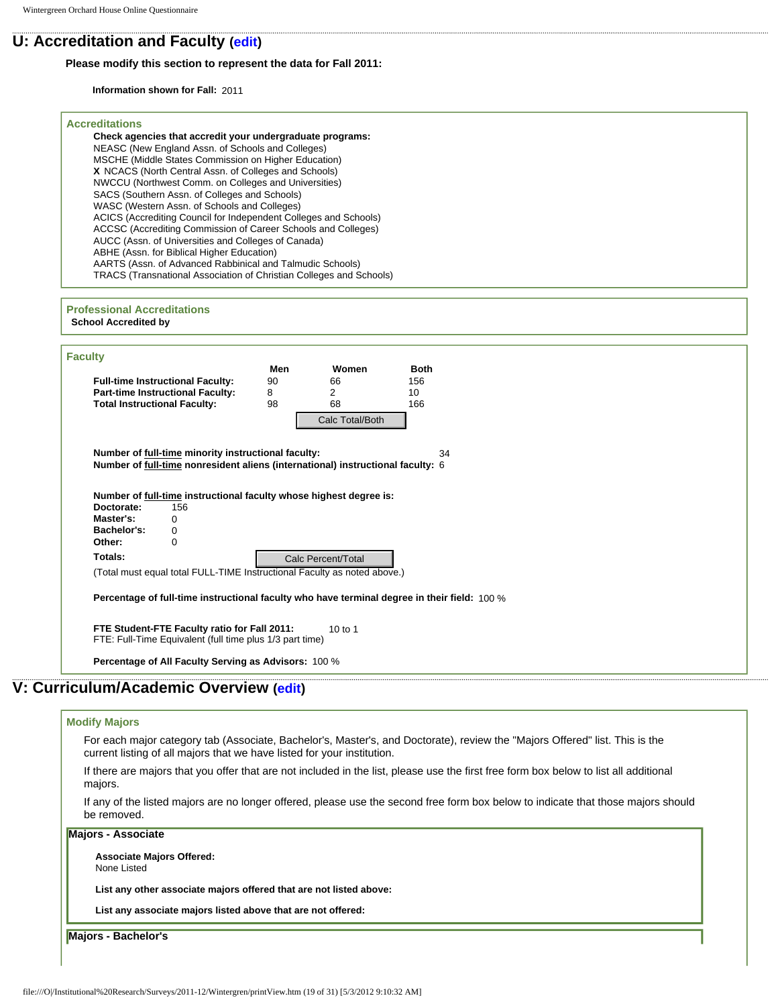## **U: Accreditation and Faculty [\(edit\)](http://survey.wgoh.com/secure/sectionUView.htm)**

#### **Please modify this section to represent the data for Fall 2011:**

**Information shown for Fall:** 2011

| <b>Accreditations</b><br>Check agencies that accredit your undergraduate programs:<br>NEASC (New England Assn. of Schools and Colleges)<br>MSCHE (Middle States Commission on Higher Education)<br>X NCACS (North Central Assn. of Colleges and Schools)<br>NWCCU (Northwest Comm. on Colleges and Universities)<br>SACS (Southern Assn. of Colleges and Schools)<br>WASC (Western Assn. of Schools and Colleges)<br>ACICS (Accrediting Council for Independent Colleges and Schools)<br>ACCSC (Accrediting Commission of Career Schools and Colleges)<br>AUCC (Assn. of Universities and Colleges of Canada)<br>ABHE (Assn. for Biblical Higher Education)<br>AARTS (Assn. of Advanced Rabbinical and Talmudic Schools)<br>TRACS (Transnational Association of Christian Colleges and Schools) |  |  |
|-------------------------------------------------------------------------------------------------------------------------------------------------------------------------------------------------------------------------------------------------------------------------------------------------------------------------------------------------------------------------------------------------------------------------------------------------------------------------------------------------------------------------------------------------------------------------------------------------------------------------------------------------------------------------------------------------------------------------------------------------------------------------------------------------|--|--|
| <b>Professional Accreditations</b><br><b>School Accredited by</b>                                                                                                                                                                                                                                                                                                                                                                                                                                                                                                                                                                                                                                                                                                                               |  |  |
| <b>Faculty</b>                                                                                                                                                                                                                                                                                                                                                                                                                                                                                                                                                                                                                                                                                                                                                                                  |  |  |
| Women<br><b>Both</b><br>Men<br><b>Full-time Instructional Faculty:</b><br>90<br>156<br>66<br><b>Part-time Instructional Faculty:</b><br>8<br>$\overline{2}$<br>10<br><b>Total Instructional Faculty:</b><br>98<br>68<br>166<br>Calc Total/Both                                                                                                                                                                                                                                                                                                                                                                                                                                                                                                                                                  |  |  |
| Number of full-time minority instructional faculty:<br>34<br>Number of full-time nonresident aliens (international) instructional faculty: 6                                                                                                                                                                                                                                                                                                                                                                                                                                                                                                                                                                                                                                                    |  |  |
| Number of full-time instructional faculty whose highest degree is:<br>Doctorate:<br>156<br>Master's:<br>0<br>Bachelor's:<br>0<br>Other:<br>0<br>Totals:<br>Calc Percent/Total<br>(Total must equal total FULL-TIME Instructional Faculty as noted above.)                                                                                                                                                                                                                                                                                                                                                                                                                                                                                                                                       |  |  |
| Percentage of full-time instructional faculty who have terminal degree in their field: 100 %                                                                                                                                                                                                                                                                                                                                                                                                                                                                                                                                                                                                                                                                                                    |  |  |
| FTE Student-FTE Faculty ratio for Fall 2011:<br>10 to 1<br>FTE: Full-Time Equivalent (full time plus 1/3 part time)                                                                                                                                                                                                                                                                                                                                                                                                                                                                                                                                                                                                                                                                             |  |  |
| Percentage of All Faculty Serving as Advisors: 100 %                                                                                                                                                                                                                                                                                                                                                                                                                                                                                                                                                                                                                                                                                                                                            |  |  |
| V: Curriculum/Academic Overview (edit)                                                                                                                                                                                                                                                                                                                                                                                                                                                                                                                                                                                                                                                                                                                                                          |  |  |
| <b>Modify Majors</b>                                                                                                                                                                                                                                                                                                                                                                                                                                                                                                                                                                                                                                                                                                                                                                            |  |  |
| For each major category tab (Associate, Bachelor's, Master's, and Doctorate), review the "Majors Offered" list. This is the<br>current listing of all majors that we have listed for your institution.                                                                                                                                                                                                                                                                                                                                                                                                                                                                                                                                                                                          |  |  |
| If there are majors that you offer that are not included in the list, please use the first free form box below to list all additional<br>majors.                                                                                                                                                                                                                                                                                                                                                                                                                                                                                                                                                                                                                                                |  |  |
| If any of the listed majors are no longer offered, please use the second free form box below to indicate that those majors should<br>be removed.                                                                                                                                                                                                                                                                                                                                                                                                                                                                                                                                                                                                                                                |  |  |
| Majors - Associate                                                                                                                                                                                                                                                                                                                                                                                                                                                                                                                                                                                                                                                                                                                                                                              |  |  |
| <b>Associate Majors Offered:</b><br>None Listed                                                                                                                                                                                                                                                                                                                                                                                                                                                                                                                                                                                                                                                                                                                                                 |  |  |
| List any other associate majors offered that are not listed above:                                                                                                                                                                                                                                                                                                                                                                                                                                                                                                                                                                                                                                                                                                                              |  |  |
| List any associate majors listed above that are not offered:                                                                                                                                                                                                                                                                                                                                                                                                                                                                                                                                                                                                                                                                                                                                    |  |  |
| Majors - Bachelor's                                                                                                                                                                                                                                                                                                                                                                                                                                                                                                                                                                                                                                                                                                                                                                             |  |  |
|                                                                                                                                                                                                                                                                                                                                                                                                                                                                                                                                                                                                                                                                                                                                                                                                 |  |  |

#### **Modify Majors**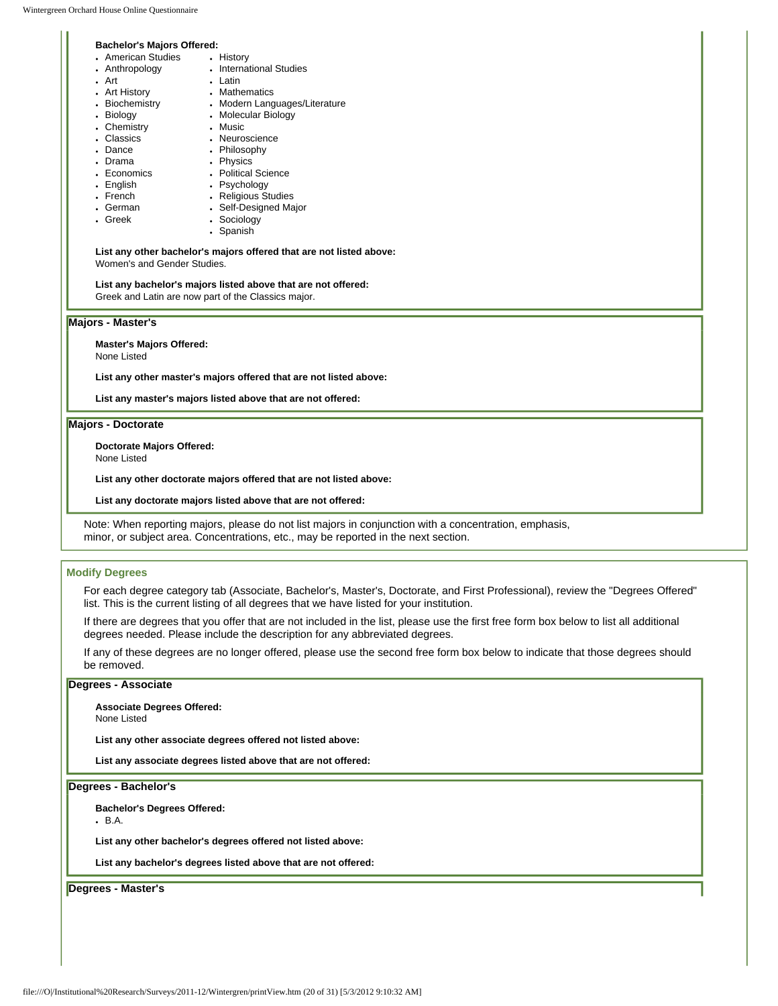#### **Bachelor's Majors Offered:**

| DAVIENT S MAJUIS UITERU. |                               |  |  |  |
|--------------------------|-------------------------------|--|--|--|
| • American Studies       | • History                     |  |  |  |
| • Anthropology           | <b>International Studies</b>  |  |  |  |
| • Art                    | • Latin                       |  |  |  |
| • Art History            | • Mathematics                 |  |  |  |
| • Biochemistry           | • Modern Languages/Literature |  |  |  |
| • Biology                | • Molecular Biology           |  |  |  |
| • Chemistry              | • Music                       |  |  |  |
| • Classics               | • Neuroscience                |  |  |  |
| • Dance                  | • Philosophy                  |  |  |  |
| • Drama                  | • Physics                     |  |  |  |
| • Economics              | • Political Science           |  |  |  |
| • English                | • Psychology                  |  |  |  |
| • French                 | • Religious Studies           |  |  |  |

- Religious Studies
- Self-Designed Major • Sociology
- Greek
- Spanish

#### **List any other bachelor's majors offered that are not listed above:**  Women's and Gender Studies.

#### **List any bachelor's majors listed above that are not offered:**

Greek and Latin are now part of the Classics major.

#### **Majors - Master's**

• German

**Master's Majors Offered:**

None Listed

**List any other master's majors offered that are not listed above:** 

**List any master's majors listed above that are not offered:** 

### **Majors - Doctorate**

**Doctorate Majors Offered:**

None Listed

**List any other doctorate majors offered that are not listed above:** 

**List any doctorate majors listed above that are not offered:** 

Note: When reporting majors, please do not list majors in conjunction with a concentration, emphasis, minor, or subject area. Concentrations, etc., may be reported in the next section.

#### **Modify Degrees**

For each degree category tab (Associate, Bachelor's, Master's, Doctorate, and First Professional), review the "Degrees Offered" list. This is the current listing of all degrees that we have listed for your institution.

If there are degrees that you offer that are not included in the list, please use the first free form box below to list all additional degrees needed. Please include the description for any abbreviated degrees.

If any of these degrees are no longer offered, please use the second free form box below to indicate that those degrees should be removed.

### **Degrees - Associate**

**Associate Degrees Offered:**

None Listed

**List any other associate degrees offered not listed above:** 

**List any associate degrees listed above that are not offered:** 

### **Degrees - Bachelor's**

**Bachelor's Degrees Offered:**

 $-B.A.$ 

**List any other bachelor's degrees offered not listed above:** 

**List any bachelor's degrees listed above that are not offered:** 

**Degrees - Master's**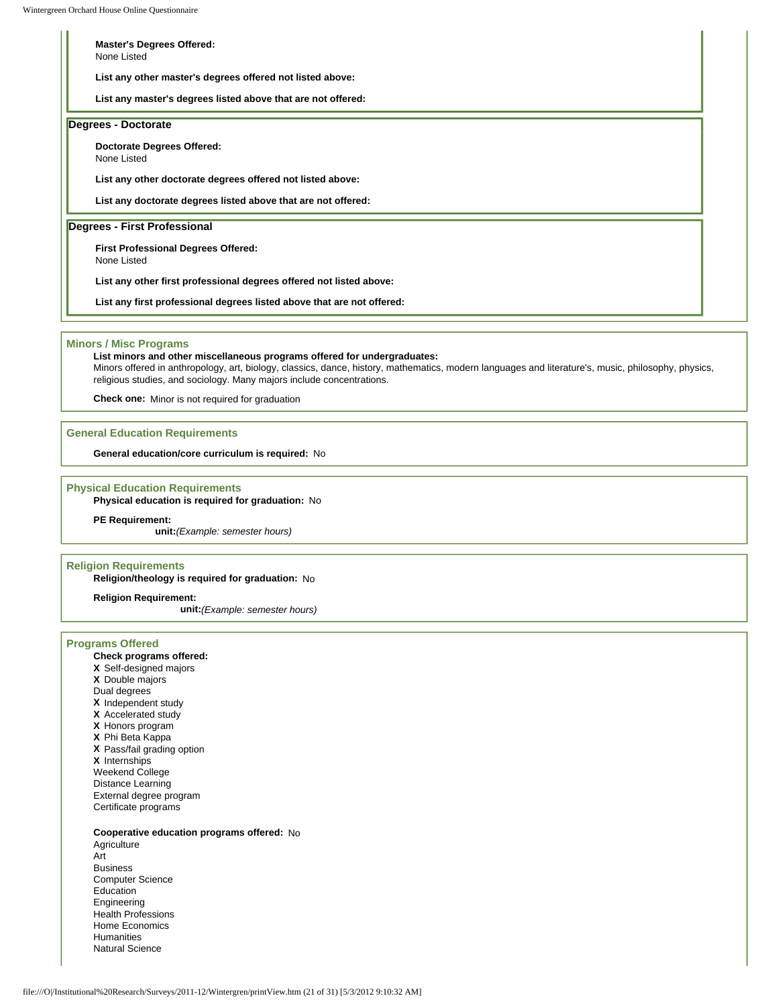**Master's Degrees Offered:** None Listed

**List any other master's degrees offered not listed above:** 

**List any master's degrees listed above that are not offered:** 

#### **Degrees - Doctorate**

**Doctorate Degrees Offered:**

None Listed

**List any other doctorate degrees offered not listed above:** 

**List any doctorate degrees listed above that are not offered:** 

**Degrees - First Professional**

**First Professional Degrees Offered:**

None Listed

**List any other first professional degrees offered not listed above:** 

**List any first professional degrees listed above that are not offered:** 

#### **Minors / Misc Programs**

#### **List minors and other miscellaneous programs offered for undergraduates:**

Minors offered in anthropology, art, biology, classics, dance, history, mathematics, modern languages and literature's, music, philosophy, physics, religious studies, and sociology. Many majors include concentrations.

**Check one:** Minor is not required for graduation

#### **General Education Requirements**

**General education/core curriculum is required:** No

#### **Physical Education Requirements**

**Physical education is required for graduation:** No

#### **PE Requirement:**

**unit:***(Example: semester hours)*

#### **Religion Requirements**

**Religion/theology is required for graduation:** No

**Religion Requirement:**

**unit:***(Example: semester hours)*

#### **Programs Offered**

#### **Check programs offered:**

- **X** Self-designed majors **X** Double majors Dual degrees **X** Independent study **X** Accelerated study **X** Honors program **X** Phi Beta Kappa **X** Pass/fail grading option **X** Internships Weekend College
- Distance Learning External degree program Certificate programs

#### **Cooperative education programs offered:** No

**Agriculture** Art Business Computer Science Education Engineering Health Professions Home Economics Humanities Natural Science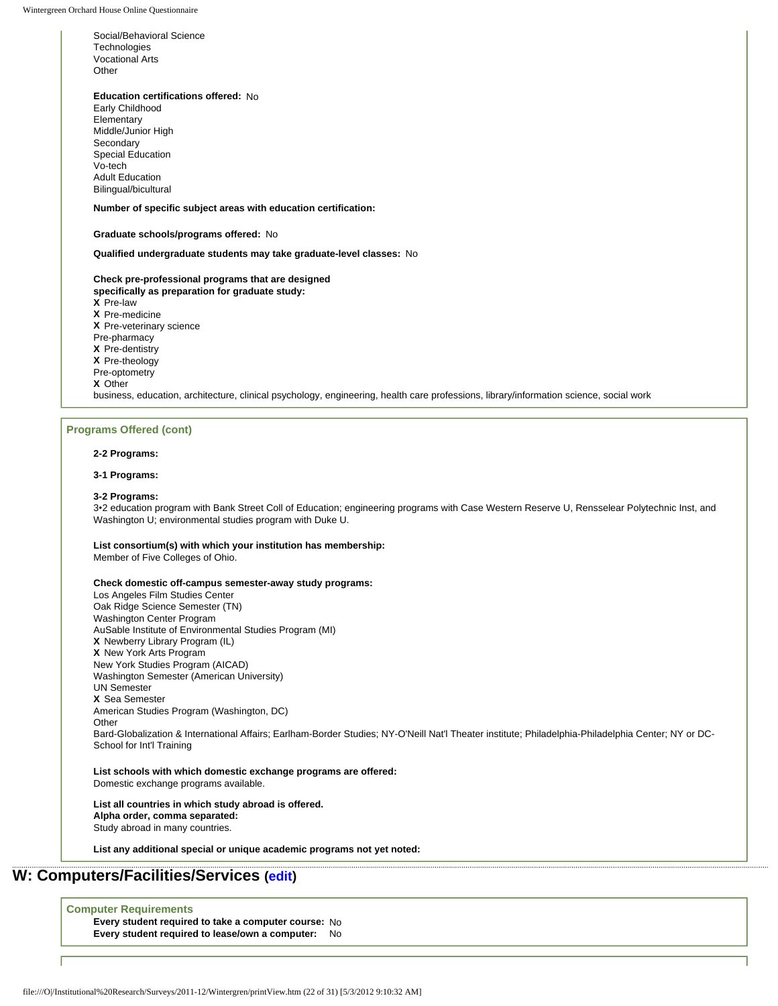Social/Behavioral Science **Technologies** Vocational Arts Other

Bilingual/bicultural

**Education certifications offered:** No Early Childhood Elementary Middle/Junior High **Secondary** Special Education Vo-tech Adult Education

#### **Number of specific subject areas with education certification:**

#### **Graduate schools/programs offered:** No

**Qualified undergraduate students may take graduate-level classes:** No

**Check pre-professional programs that are designed specifically as preparation for graduate study: X** Pre-law **X** Pre-medicine **X** Pre-veterinary science Pre-pharmacy **X** Pre-dentistry **X** Pre-theology Pre-optometry **X** Other

business, education, architecture, clinical psychology, engineering, health care professions, library/information science, social work

#### **Programs Offered (cont)**

#### **2-2 Programs:**

#### **3-1 Programs:**

#### **3-2 Programs:**

3•2 education program with Bank Street Coll of Education; engineering programs with Case Western Reserve U, Rensselear Polytechnic Inst, and Washington U; environmental studies program with Duke U.

#### **List consortium(s) with which your institution has membership:**

Member of Five Colleges of Ohio.

#### **Check domestic off-campus semester-away study programs:**

Los Angeles Film Studies Center Oak Ridge Science Semester (TN) Washington Center Program AuSable Institute of Environmental Studies Program (MI) **X** Newberry Library Program (IL) **X** New York Arts Program New York Studies Program (AICAD) Washington Semester (American University) UN Semester **X** Sea Semester American Studies Program (Washington, DC) **Other** Bard-Globalization & International Affairs; Earlham-Border Studies; NY-O'Neill Nat'l Theater institute; Philadelphia-Philadelphia Center; NY or DC-School for Int'l Training

**List schools with which domestic exchange programs are offered:**  Domestic exchange programs available.

#### **List all countries in which study abroad is offered. Alpha order, comma separated:**  Study abroad in many countries.

**List any additional special or unique academic programs not yet noted:** 

## **W: Computers/Facilities/Services ([edit](http://survey.wgoh.com/secure/sectionWView.htm))**

**Computer Requirements**

**Every student required to take a computer course:** No **Every student required to lease/own a computer:** No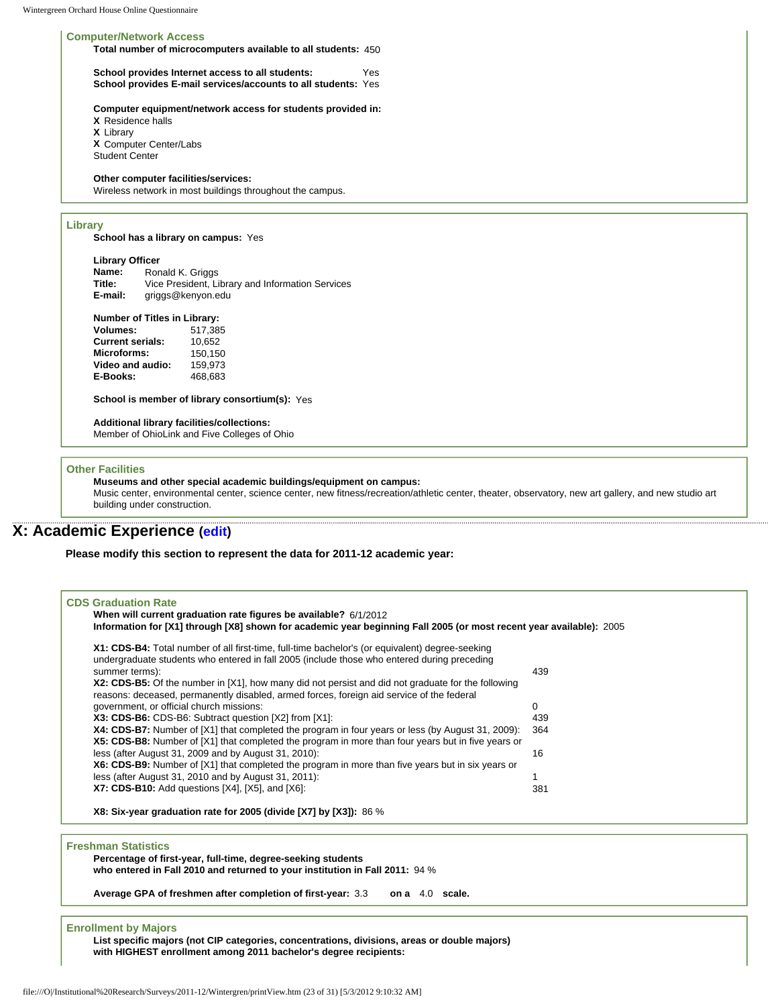#### **Computer/Network Access**

**Total number of microcomputers available to all students:** 450

**School provides Internet access to all students:** Yes **School provides E-mail services/accounts to all students:** Yes

**Computer equipment/network access for students provided in:**

**X** Residence halls **X** Library **X** Computer Center/Labs Student Center

**Other computer facilities/services:** 

Wireless network in most buildings throughout the campus.

#### **Library**

**School has a library on campus:** Yes

| <b>Library Officer</b> |                                                  |  |  |  |  |
|------------------------|--------------------------------------------------|--|--|--|--|
| Name:                  | Ronald K. Griggs                                 |  |  |  |  |
| Title:                 | Vice President, Library and Information Services |  |  |  |  |
| E-mail:                | griggs@kenyon.edu                                |  |  |  |  |

#### **Number of Titles in Library:**

| <b>Volumes:</b>         | 517.385 |
|-------------------------|---------|
| <b>Current serials:</b> | 10.652  |
| Microforms:             | 150.150 |
| Video and audio:        | 159.973 |
| E-Books:                | 468.683 |

**School is member of library consortium(s):** Yes

**Additional library facilities/collections:** 

Member of OhioLink and Five Colleges of Ohio

#### **Other Facilities**

**Museums and other special academic buildings/equipment on campus:** 

Music center, environmental center, science center, new fitness/recreation/athletic center, theater, observatory, new art gallery, and new studio art building under construction.

## **X: Academic Experience [\(edit\)](http://survey.wgoh.com/secure/sectionXView.htm)**

**Please modify this section to represent the data for 2011-12 academic year:** 

| <b>CDS Graduation Rate</b><br>When will current graduation rate figures be available? 6/1/2012<br>Information for [X1] through [X8] shown for academic year beginning Fall 2005 (or most recent year available): 2005 |     |
|-----------------------------------------------------------------------------------------------------------------------------------------------------------------------------------------------------------------------|-----|
| X1: CDS-B4: Total number of all first-time, full-time bachelor's (or equivalent) degree-seeking<br>undergraduate students who entered in fall 2005 (include those who entered during preceding                        |     |
| summer terms):                                                                                                                                                                                                        | 439 |
| X2: CDS-B5: Of the number in [X1], how many did not persist and did not graduate for the following<br>reasons: deceased, permanently disabled, armed forces, foreign aid service of the federal                       |     |
| government, or official church missions:                                                                                                                                                                              | 0   |
| X3: CDS-B6: CDS-B6: Subtract question [X2] from [X1]:                                                                                                                                                                 | 439 |
| X4: CDS-B7: Number of [X1] that completed the program in four years or less (by August 31, 2009):<br>X5: CDS-B8: Number of [X1] that completed the program in more than four years but in five years or               | 364 |
| less (after August 31, 2009 and by August 31, 2010):<br>X6: CDS-B9: Number of [X1] that completed the program in more than five years but in six years or                                                             | 16  |
| less (after August 31, 2010 and by August 31, 2011):                                                                                                                                                                  |     |
| X7: CDS-B10: Add questions [X4], [X5], and [X6]:                                                                                                                                                                      | 381 |

#### **Freshman Statistics**

**Percentage of first-year, full-time, degree-seeking students who entered in Fall 2010 and returned to your institution in Fall 2011:** 94 %

**Average GPA of freshmen after completion of first-year:** 3.3 **on a** 4.0 **scale.**

#### **Enrollment by Majors**

**List specific majors (not CIP categories, concentrations, divisions, areas or double majors) with HIGHEST enrollment among 2011 bachelor's degree recipients:**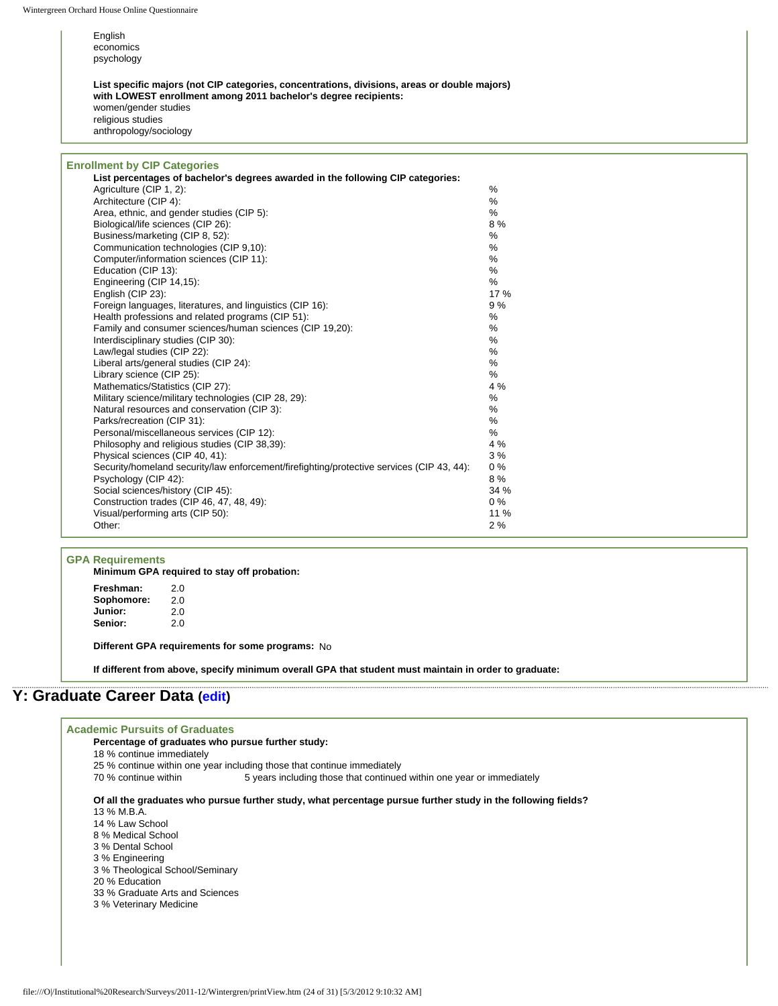| English<br>economics<br>psychology                                                                                                                                                                                                     |       |
|----------------------------------------------------------------------------------------------------------------------------------------------------------------------------------------------------------------------------------------|-------|
| List specific majors (not CIP categories, concentrations, divisions, areas or double majors)<br>with LOWEST enrollment among 2011 bachelor's degree recipients:<br>women/gender studies<br>religious studies<br>anthropology/sociology |       |
| <b>Enrollment by CIP Categories</b>                                                                                                                                                                                                    |       |
| List percentages of bachelor's degrees awarded in the following CIP categories:                                                                                                                                                        |       |
| Agriculture (CIP 1, 2):                                                                                                                                                                                                                | %     |
| Architecture (CIP 4):                                                                                                                                                                                                                  | %     |
| Area, ethnic, and gender studies (CIP 5):                                                                                                                                                                                              | %     |
| Biological/life sciences (CIP 26):                                                                                                                                                                                                     | 8%    |
| Business/marketing (CIP 8, 52):                                                                                                                                                                                                        | %     |
| Communication technologies (CIP 9.10):                                                                                                                                                                                                 | %     |
| Computer/information sciences (CIP 11):                                                                                                                                                                                                | %     |
| Education (CIP 13):                                                                                                                                                                                                                    | %     |
| Engineering (CIP 14,15):                                                                                                                                                                                                               | $\%$  |
| English (CIP 23):                                                                                                                                                                                                                      | 17 %  |
| Foreign languages, literatures, and linguistics (CIP 16):                                                                                                                                                                              | 9%    |
| Health professions and related programs (CIP 51):                                                                                                                                                                                      | %     |
| Family and consumer sciences/human sciences (CIP 19,20):                                                                                                                                                                               | %     |
| Interdisciplinary studies (CIP 30):                                                                                                                                                                                                    | %     |
| Law/legal studies (CIP 22):                                                                                                                                                                                                            | %     |
| Liberal arts/general studies (CIP 24):                                                                                                                                                                                                 | %     |
| Library science (CIP 25):                                                                                                                                                                                                              | ℅     |
| Mathematics/Statistics (CIP 27):                                                                                                                                                                                                       | 4 %   |
| Military science/military technologies (CIP 28, 29):                                                                                                                                                                                   | %     |
| Natural resources and conservation (CIP 3):                                                                                                                                                                                            | %     |
| Parks/recreation (CIP 31):                                                                                                                                                                                                             | %     |
| Personal/miscellaneous services (CIP 12):                                                                                                                                                                                              | %     |
| Philosophy and religious studies (CIP 38,39):                                                                                                                                                                                          | 4 %   |
| Physical sciences (CIP 40, 41):                                                                                                                                                                                                        | 3%    |
| Security/homeland security/law enforcement/firefighting/protective services (CIP 43, 44):                                                                                                                                              | $0\%$ |
| Psychology (CIP 42):                                                                                                                                                                                                                   | 8%    |
| Social sciences/history (CIP 45):                                                                                                                                                                                                      | 34 %  |
| Construction trades (CIP 46, 47, 48, 49):                                                                                                                                                                                              | $0\%$ |
| Visual/performing arts (CIP 50):                                                                                                                                                                                                       | 11 %  |

### **GPA Requirements**

**Minimum GPA required to stay off probation:**

Freshman: 2.0<br>**Sophomore:** 2.0 **Sophomore:** 2.0<br>**Junior:** 2.0 **Junior:** 2.0<br>**Senior:** 2.0 Senior:

**Different GPA requirements for some programs:** No

**If different from above, specify minimum overall GPA that student must maintain in order to graduate:**

Other: 2 %

# **Y: Graduate Career Data [\(edit\)](http://survey.wgoh.com/secure/sectionYView.htm)**

 $\Gamma$ 

| <b>Academic Pursuits of Graduates</b>                                                                        |
|--------------------------------------------------------------------------------------------------------------|
| Percentage of graduates who pursue further study:                                                            |
| 18 % continue immediately                                                                                    |
| 25 % continue within one year including those that continue immediately                                      |
| 70 % continue within<br>5 years including those that continued within one year or immediately                |
| Of all the graduates who pursue further study, what percentage pursue further study in the following fields? |
| 13 % M.B.A.                                                                                                  |
| 14 % Law School                                                                                              |
| 8 % Medical School                                                                                           |
| 3 % Dental School                                                                                            |
| 3 % Engineering                                                                                              |
| 3 % Theological School/Seminary                                                                              |
| 20 % Education                                                                                               |
| 33 % Graduate Arts and Sciences                                                                              |
| 3 % Veterinary Medicine                                                                                      |
|                                                                                                              |
|                                                                                                              |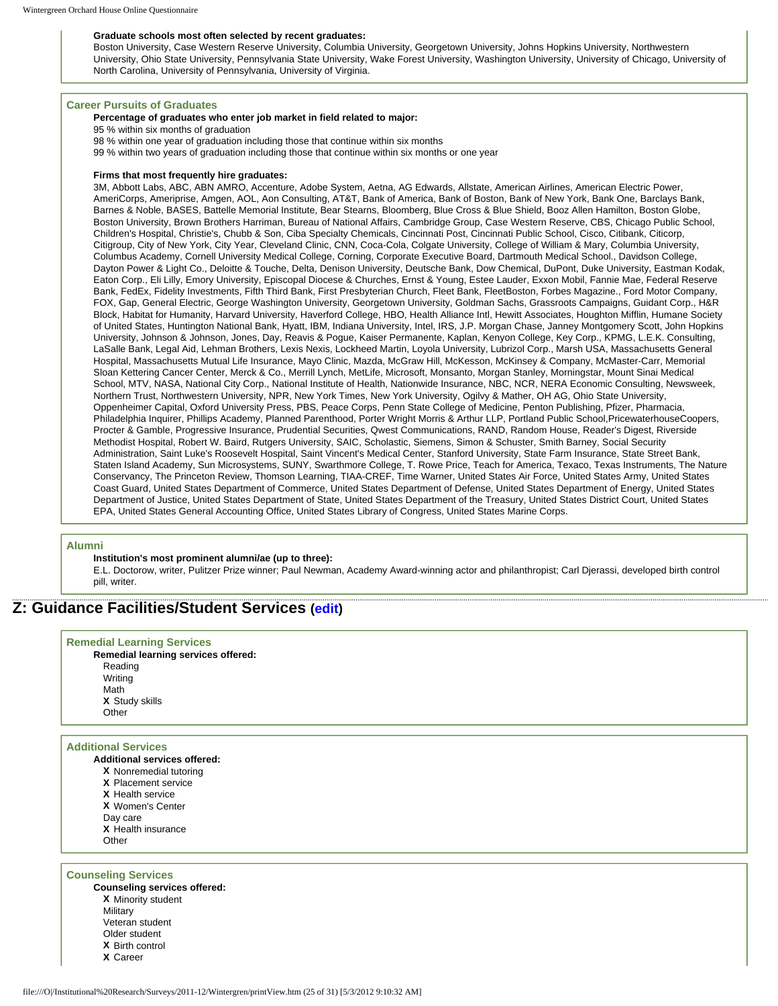#### **Graduate schools most often selected by recent graduates:**

Boston University, Case Western Reserve University, Columbia University, Georgetown University, Johns Hopkins University, Northwestern University, Ohio State University, Pennsylvania State University, Wake Forest University, Washington University, University of Chicago, University of North Carolina, University of Pennsylvania, University of Virginia.

#### **Career Pursuits of Graduates**

#### **Percentage of graduates who enter job market in field related to major:**

95 % within six months of graduation

- 98 % within one year of graduation including those that continue within six months
- 99 % within two years of graduation including those that continue within six months or one year

#### **Firms that most frequently hire graduates:**

3M, Abbott Labs, ABC, ABN AMRO, Accenture, Adobe System, Aetna, AG Edwards, Allstate, American Airlines, American Electric Power, AmeriCorps, Ameriprise, Amgen, AOL, Aon Consulting, AT&T, Bank of America, Bank of Boston, Bank of New York, Bank One, Barclays Bank, Barnes & Noble, BASES, Battelle Memorial Institute, Bear Stearns, Bloomberg, Blue Cross & Blue Shield, Booz Allen Hamilton, Boston Globe, Boston University, Brown Brothers Harriman, Bureau of National Affairs, Cambridge Group, Case Western Reserve, CBS, Chicago Public School, Children's Hospital, Christie's, Chubb & Son, Ciba Specialty Chemicals, Cincinnati Post, Cincinnati Public School, Cisco, Citibank, Citicorp, Citigroup, City of New York, City Year, Cleveland Clinic, CNN, Coca-Cola, Colgate University, College of William & Mary, Columbia University, Columbus Academy, Cornell University Medical College, Corning, Corporate Executive Board, Dartmouth Medical School., Davidson College, Dayton Power & Light Co., Deloitte & Touche, Delta, Denison University, Deutsche Bank, Dow Chemical, DuPont, Duke University, Eastman Kodak, Eaton Corp., Eli Lilly, Emory University, Episcopal Diocese & Churches, Ernst & Young, Estee Lauder, Exxon Mobil, Fannie Mae, Federal Reserve Bank, FedEx, Fidelity Investments, Fifth Third Bank, First Presbyterian Church, Fleet Bank, FleetBoston, Forbes Magazine., Ford Motor Company, FOX, Gap, General Electric, George Washington University, Georgetown University, Goldman Sachs, Grassroots Campaigns, Guidant Corp., H&R Block, Habitat for Humanity, Harvard University, Haverford College, HBO, Health Alliance Intl, Hewitt Associates, Houghton Mifflin, Humane Society of United States, Huntington National Bank, Hyatt, IBM, Indiana University, Intel, IRS, J.P. Morgan Chase, Janney Montgomery Scott, John Hopkins University, Johnson & Johnson, Jones, Day, Reavis & Pogue, Kaiser Permanente, Kaplan, Kenyon College, Key Corp., KPMG, L.E.K. Consulting, LaSalle Bank, Legal Aid, Lehman Brothers, Lexis Nexis, Lockheed Martin, Loyola University, Lubrizol Corp., Marsh USA, Massachusetts General Hospital, Massachusetts Mutual Life Insurance, Mayo Clinic, Mazda, McGraw Hill, McKesson, McKinsey & Company, McMaster-Carr, Memorial Sloan Kettering Cancer Center, Merck & Co., Merrill Lynch, MetLife, Microsoft, Monsanto, Morgan Stanley, Morningstar, Mount Sinai Medical School, MTV, NASA, National City Corp., National Institute of Health, Nationwide Insurance, NBC, NCR, NERA Economic Consulting, Newsweek, Northern Trust, Northwestern University, NPR, New York Times, New York University, Ogilvy & Mather, OH AG, Ohio State University, Oppenheimer Capital, Oxford University Press, PBS, Peace Corps, Penn State College of Medicine, Penton Publishing, Pfizer, Pharmacia, Philadelphia Inquirer, Phillips Academy, Planned Parenthood, Porter Wright Morris & Arthur LLP, Portland Public School,PricewaterhouseCoopers, Procter & Gamble, Progressive Insurance, Prudential Securities, Qwest Communications, RAND, Random House, Reader's Digest, Riverside Methodist Hospital, Robert W. Baird, Rutgers University, SAIC, Scholastic, Siemens, Simon & Schuster, Smith Barney, Social Security Administration, Saint Luke's Roosevelt Hospital, Saint Vincent's Medical Center, Stanford University, State Farm Insurance, State Street Bank, Staten Island Academy, Sun Microsystems, SUNY, Swarthmore College, T. Rowe Price, Teach for America, Texaco, Texas Instruments, The Nature Conservancy, The Princeton Review, Thomson Learning, TIAA-CREF, Time Warner, United States Air Force, United States Army, United States Coast Guard, United States Department of Commerce, United States Department of Defense, United States Department of Energy, United States Department of Justice, United States Department of State, United States Department of the Treasury, United States District Court, United States EPA, United States General Accounting Office, United States Library of Congress, United States Marine Corps.

#### **Alumni**

#### **Institution's most prominent alumni/ae (up to three):**

E.L. Doctorow, writer, Pulitzer Prize winner; Paul Newman, Academy Award-winning actor and philanthropist; Carl Djerassi, developed birth control pill, writer.

## **Z: Guidance Facilities/Student Services ([edit](http://survey.wgoh.com/secure/sectionZView.htm))**

| <b>Remedial Learning Services</b><br>Remedial learning services offered:<br>Reading<br>Writing<br>Math |
|--------------------------------------------------------------------------------------------------------|
| X Study skills                                                                                         |
| Other                                                                                                  |
|                                                                                                        |
| <b>Additional Services</b>                                                                             |
| Additional services offered:                                                                           |
| X Nonremedial tutoring                                                                                 |
| <b>X</b> Placement service                                                                             |
| <b>X</b> Health service                                                                                |
| <b>X</b> Women's Center                                                                                |
| Day care                                                                                               |
| X Health insurance                                                                                     |
| Other                                                                                                  |

**Counseling Services**

**Counseling services offered: X** Minority student **Military** Veteran student Older student **X** Birth control **X** Career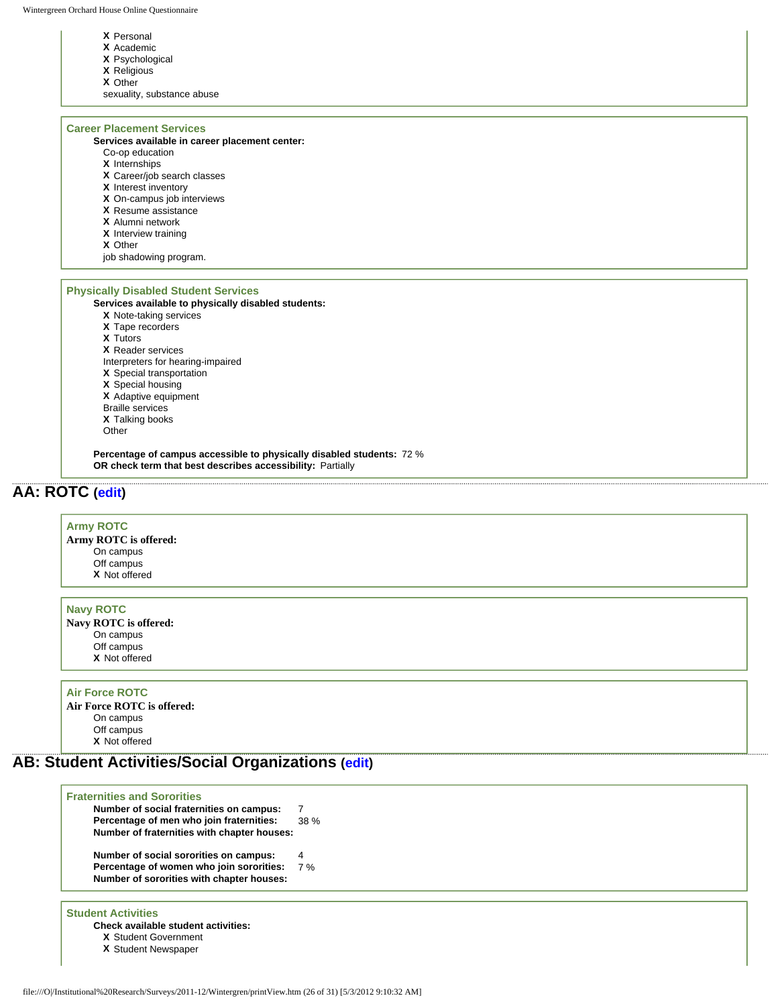- **X** Personal
- **X** Academic
- **X** Psychological
- **X** Religious
- **X** Other
- sexuality, substance abuse

#### **Career Placement Services**

- **Services available in career placement center:**
- Co-op education
- **X** Internships
- **X** Career/job search classes
- **X** Interest inventory
- **X** On-campus job interviews
- **X** Resume assistance
- **X** Alumni network
- **X** Interview training
- **X** Other
- job shadowing program.

### **Physically Disabled Student Services**

### **Services available to physically disabled students:**

- **X** Note-taking services
- **X** Tape recorders
- **X** Tutors
- **X** Reader services
- Interpreters for hearing-impaired
- **X** Special transportation
- **X** Special housing
- **X** Adaptive equipment
- Braille services
- **X** Talking books
- **Other**

**Percentage of campus accessible to physically disabled students:** 72 % **OR check term that best describes accessibility:** Partially

## **AA: ROTC [\(edit\)](http://survey.wgoh.com/secure/sectionAAView.htm)**

| <b>Army ROTC</b>           |  |
|----------------------------|--|
|                            |  |
| Army ROTC is offered:      |  |
| On campus                  |  |
| Off campus                 |  |
| X Not offered              |  |
|                            |  |
| <b>Navy ROTC</b>           |  |
| Navy ROTC is offered:      |  |
| On campus                  |  |
| Off campus                 |  |
| X Not offered              |  |
|                            |  |
|                            |  |
| <b>Air Force ROTC</b>      |  |
| Air Force ROTC is offered: |  |
| On campus                  |  |

Off campus **X** Not offered

## **AB: Student Activities/Social Organizations ([edit](http://survey.wgoh.com/secure/sectionABView.htm))**

| <b>Fraternities and Sororities</b><br>Number of social fraternities on campus:<br>Percentage of men who join fraternities:<br>Number of fraternities with chapter houses: | 38% |  |
|---------------------------------------------------------------------------------------------------------------------------------------------------------------------------|-----|--|
| Number of social sororities on campus:                                                                                                                                    | 4   |  |
| Percentage of women who join sororities:<br>Number of sororities with chapter houses:                                                                                     | 7%  |  |
|                                                                                                                                                                           |     |  |

### **Student Activities**

**Check available student activities:**

- **X** Student Government
- **X** Student Newspaper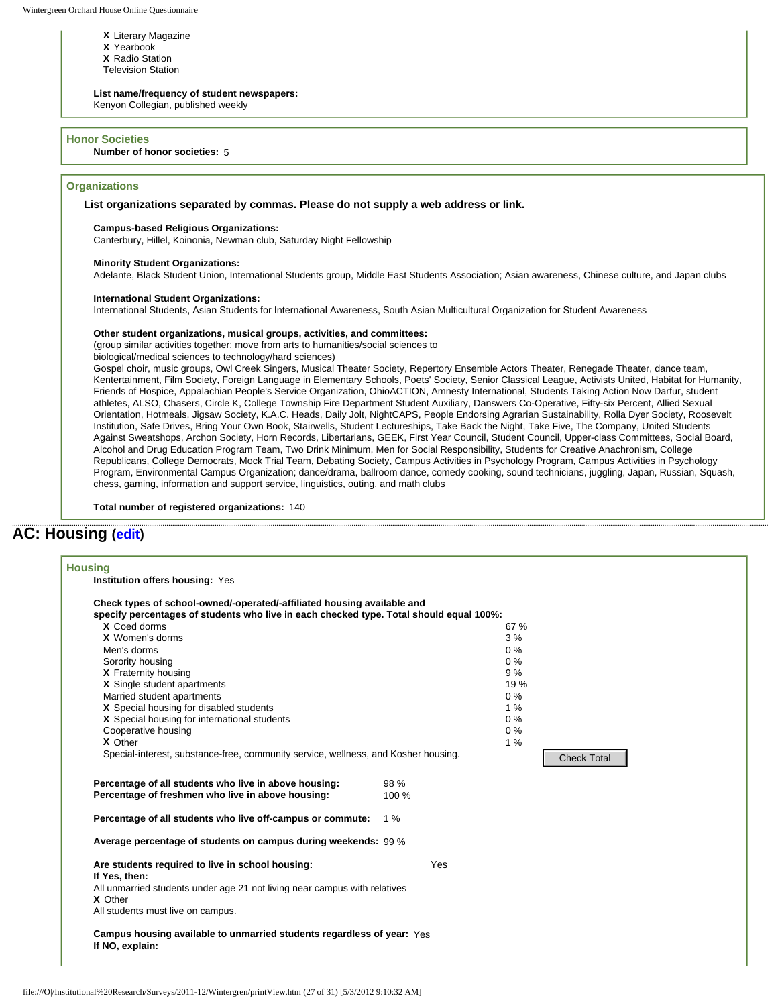- **X** Literary Magazine
- **X** Yearbook
- **X** Radio Station
- Television Station

#### **List name/frequency of student newspapers:**

Kenyon Collegian, published weekly

#### **Honor Societies**

**Number of honor societies:** 5

#### **Organizations**

**List organizations separated by commas. Please do not supply a web address or link.** 

#### **Campus-based Religious Organizations:**

Canterbury, Hillel, Koinonia, Newman club, Saturday Night Fellowship

#### **Minority Student Organizations:**

Adelante, Black Student Union, International Students group, Middle East Students Association; Asian awareness, Chinese culture, and Japan clubs

#### **International Student Organizations:**

International Students, Asian Students for International Awareness, South Asian Multicultural Organization for Student Awareness

#### **Other student organizations, musical groups, activities, and committees:**

(group similar activities together; move from arts to humanities/social sciences to

biological/medical sciences to technology/hard sciences)

Gospel choir, music groups, Owl Creek Singers, Musical Theater Society, Repertory Ensemble Actors Theater, Renegade Theater, dance team, Kentertainment, Film Society, Foreign Language in Elementary Schools, Poets' Society, Senior Classical League, Activists United, Habitat for Humanity, Friends of Hospice, Appalachian People's Service Organization, OhioACTION, Amnesty International, Students Taking Action Now Darfur, student athletes, ALSO, Chasers, Circle K, College Township Fire Department Student Auxiliary, Danswers Co-Operative, Fifty-six Percent, Allied Sexual Orientation, Hotmeals, Jigsaw Society, K.A.C. Heads, Daily Jolt, NightCAPS, People Endorsing Agrarian Sustainability, Rolla Dyer Society, Roosevelt Institution, Safe Drives, Bring Your Own Book, Stairwells, Student Lectureships, Take Back the Night, Take Five, The Company, United Students Against Sweatshops, Archon Society, Horn Records, Libertarians, GEEK, First Year Council, Student Council, Upper-class Committees, Social Board, Alcohol and Drug Education Program Team, Two Drink Minimum, Men for Social Responsibility, Students for Creative Anachronism, College Republicans, College Democrats, Mock Trial Team, Debating Society, Campus Activities in Psychology Program, Campus Activities in Psychology Program, Environmental Campus Organization; dance/drama, ballroom dance, comedy cooking, sound technicians, juggling, Japan, Russian, Squash, chess, gaming, information and support service, linguistics, outing, and math clubs

**Total number of registered organizations:** 140

## **AC: Housing [\(edit](http://survey.wgoh.com/secure/sectionACView.htm))**

| Check types of school-owned/-operated/-affiliated housing available and<br>specify percentages of students who live in each checked type. Total should equal 100%: |       |                    |  |
|--------------------------------------------------------------------------------------------------------------------------------------------------------------------|-------|--------------------|--|
| X Coed dorms                                                                                                                                                       |       | 67 %               |  |
| X Women's dorms                                                                                                                                                    |       | 3%                 |  |
| Men's dorms                                                                                                                                                        |       | $0\%$              |  |
| Sorority housing                                                                                                                                                   |       | $0\%$              |  |
| X Fraternity housing                                                                                                                                               |       | 9%                 |  |
| X Single student apartments                                                                                                                                        |       | 19%                |  |
| Married student apartments                                                                                                                                         |       | $0\%$              |  |
| X Special housing for disabled students                                                                                                                            |       | 1%                 |  |
| X Special housing for international students                                                                                                                       |       | $0\%$              |  |
| Cooperative housing                                                                                                                                                |       | 0%                 |  |
| X Other                                                                                                                                                            |       | 1%                 |  |
| Special-interest, substance-free, community service, wellness, and Kosher housing.                                                                                 |       | <b>Check Total</b> |  |
|                                                                                                                                                                    |       |                    |  |
| Percentage of all students who live in above housing:                                                                                                              | 98 %  |                    |  |
| Percentage of freshmen who live in above housing:                                                                                                                  | 100 % |                    |  |
| Percentage of all students who live off-campus or commute:                                                                                                         | 1%    |                    |  |
| Average percentage of students on campus during weekends: 99 %                                                                                                     |       |                    |  |
| Are students required to live in school housing:                                                                                                                   | Yes   |                    |  |
| If Yes, then:                                                                                                                                                      |       |                    |  |
| All unmarried students under age 21 not living near campus with relatives                                                                                          |       |                    |  |
| X Other                                                                                                                                                            |       |                    |  |
| All students must live on campus.                                                                                                                                  |       |                    |  |
| Campus housing available to unmarried students regardless of year: Yes                                                                                             |       |                    |  |
| If NO, explain:                                                                                                                                                    |       |                    |  |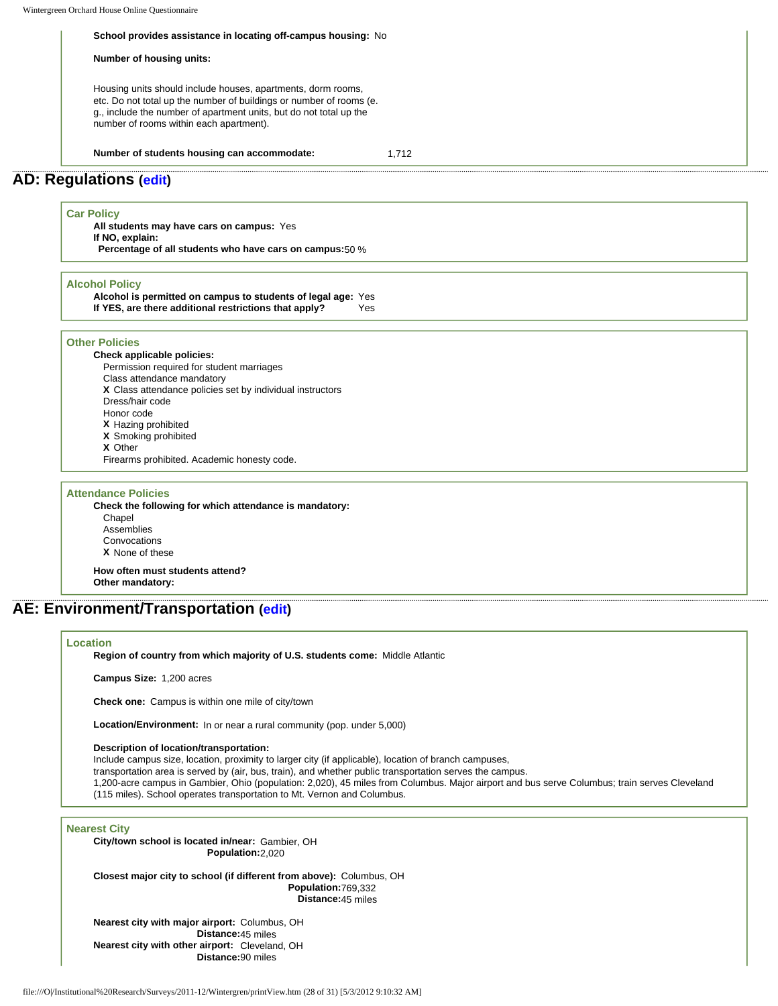#### **School provides assistance in locating off-campus housing:** No

**Number of housing units:** 

Housing units should include houses, apartments, dorm rooms, etc. Do not total up the number of buildings or number of rooms (e. g., include the number of apartment units, but do not total up the number of rooms within each apartment).

**Number of students housing can accommodate:** 1,712

### **AD: Regulations ([edit](http://survey.wgoh.com/secure/sectionADView.htm))**

#### **Car Policy**

**All students may have cars on campus:** Yes **If NO, explain: Percentage of all students who have cars on campus:**50 %

#### **Alcohol Policy**

**Alcohol is permitted on campus to students of legal age:** Yes **If YES, are there additional restrictions that apply?** Yes

#### **Other Policies**

**Check applicable policies:**

- Permission required for student marriages
- Class attendance mandatory
- **X** Class attendance policies set by individual instructors
- Dress/hair code
- Honor code
- **X** Hazing prohibited **X** Smoking prohibited
- **X** Other
- 
- Firearms prohibited. Academic honesty code.

#### **Attendance Policies**

**Check the following for which attendance is mandatory:** Chapel Assemblies Convocations **X** None of these

**How often must students attend? Other mandatory:** 

## **AE: Environment/Transportation [\(edit\)](http://survey.wgoh.com/secure/sectionAEView.htm)**

#### **Location**

**Region of country from which majority of U.S. students come:** Middle Atlantic

**Campus Size:** 1,200 acres

**Check one:** Campus is within one mile of city/town

**Location/Environment:** In or near a rural community (pop. under 5,000)

#### **Description of location/transportation:**

Include campus size, location, proximity to larger city (if applicable), location of branch campuses,

transportation area is served by (air, bus, train), and whether public transportation serves the campus.

1,200-acre campus in Gambier, Ohio (population: 2,020), 45 miles from Columbus. Major airport and bus serve Columbus; train serves Cleveland (115 miles). School operates transportation to Mt. Vernon and Columbus.

#### **Nearest City**

**City/town school is located in/near:** Gambier, OH **Population:**2,020

**Closest major city to school (if different from above):** Columbus, OH **Population:**769,332 **Distance:**45 miles

**Nearest city with major airport:** Columbus, OH **Distance:**45 miles **Nearest city with other airport:** Cleveland, OH **Distance:**90 miles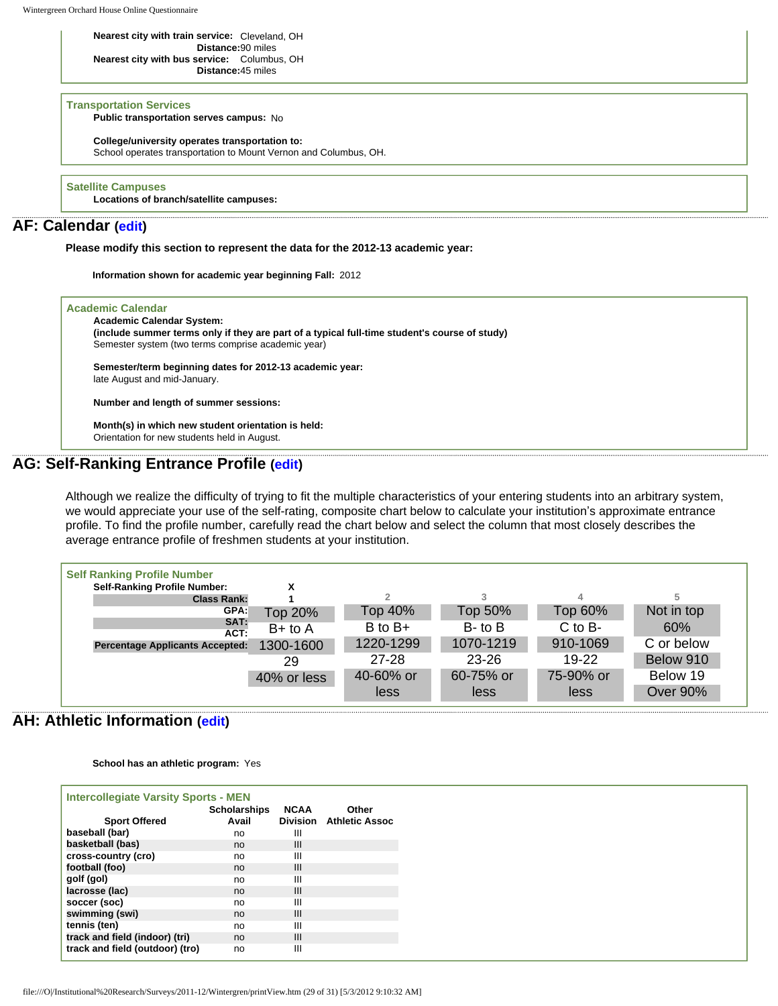Wintergreen Orchard House Online Questionnaire

#### **Nearest city with train service:** Cleveland, OH **Distance:**90 miles **Nearest city with bus service:** Columbus, OH **Distance:**45 miles

#### **Transportation Services**

**Public transportation serves campus:** No

**College/university operates transportation to:**

School operates transportation to Mount Vernon and Columbus, OH.

#### **Satellite Campuses**

**Locations of branch/satellite campuses:**

## **AF: Calendar ([edit](http://survey.wgoh.com/secure/sectionAFView.htm))**

**Please modify this section to represent the data for the 2012-13 academic year:** 

**Information shown for academic year beginning Fall:** 2012

| <b>Academic Calendar</b>                           |                                                                                               |  |
|----------------------------------------------------|-----------------------------------------------------------------------------------------------|--|
| <b>Academic Calendar System:</b>                   |                                                                                               |  |
|                                                    | (include summer terms only if they are part of a typical full-time student's course of study) |  |
| Semester system (two terms comprise academic year) |                                                                                               |  |
|                                                    | Semester/term beginning dates for 2012-13 academic vear:                                      |  |
| late August and mid-January.                       |                                                                                               |  |
|                                                    |                                                                                               |  |
| Number and length of summer sessions:              |                                                                                               |  |
| Month(s) in which new student orientation is held: |                                                                                               |  |
| Orientation for new students held in August.       |                                                                                               |  |

## **AG: Self-Ranking Entrance Profile [\(edit\)](http://survey.wgoh.com/secure/sectionAGView.htm)**

Although we realize the difficulty of trying to fit the multiple characteristics of your entering students into an arbitrary system, we would appreciate your use of the self-rating, composite chart below to calculate your institution's approximate entrance profile. To find the profile number, carefully read the chart below and select the column that most closely describes the average entrance profile of freshmen students at your institution.

| <b>Self Ranking Profile Number</b>     |             |             |              |             |                 |
|----------------------------------------|-------------|-------------|--------------|-------------|-----------------|
| <b>Self-Ranking Profile Number:</b>    |             |             |              |             |                 |
| <b>Class Rank:</b>                     |             |             |              | 4           | 5               |
| GPA:                                   | Top 20%     | Top 40%     | Top 50%      | Top 60%     | Not in top      |
| SAT:<br>ACT:                           | $B+$ to $A$ | $B$ to $B+$ | $B$ - to $B$ | $C$ to $B-$ | 60%             |
| <b>Percentage Applicants Accepted:</b> | 1300-1600   | 1220-1299   | 1070-1219    | 910-1069    | C or below      |
|                                        | 29          | $27 - 28$   | $23 - 26$    | $19-22$     | Below 910       |
|                                        | 40% or less | 40-60% or   | 60-75% or    | 75-90% or   | Below 19        |
|                                        |             | less        | less         | less        | <b>Over 90%</b> |

## **AH: Athletic Information ([edit](http://survey.wgoh.com/secure/sectionAHView.htm))**

**School has an athletic program:** Yes

| <b>Intercollegiate Varsity Sports - MEN</b><br><b>Scholarships</b><br><b>NCAA</b><br>Other |       |   |                                |  |  |  |
|--------------------------------------------------------------------------------------------|-------|---|--------------------------------|--|--|--|
| <b>Sport Offered</b>                                                                       | Avail |   | <b>Division</b> Athletic Assoc |  |  |  |
| baseball (bar)                                                                             | no    | Ш |                                |  |  |  |
| basketball (bas)                                                                           | no    | Ш |                                |  |  |  |
| cross-country (cro)                                                                        | no    | Ш |                                |  |  |  |
| football (foo)                                                                             | no    | Ш |                                |  |  |  |
| golf (gol)                                                                                 | no    | Ш |                                |  |  |  |
| lacrosse (lac)                                                                             | no    | Ш |                                |  |  |  |
| soccer (soc)                                                                               | no    | Ш |                                |  |  |  |
| swimming (swi)                                                                             | no    | Ш |                                |  |  |  |
| tennis (ten)                                                                               | no    | Ш |                                |  |  |  |
| track and field (indoor) (tri)                                                             | no    | Ш |                                |  |  |  |
| track and field (outdoor) (tro)                                                            | no    | Ш |                                |  |  |  |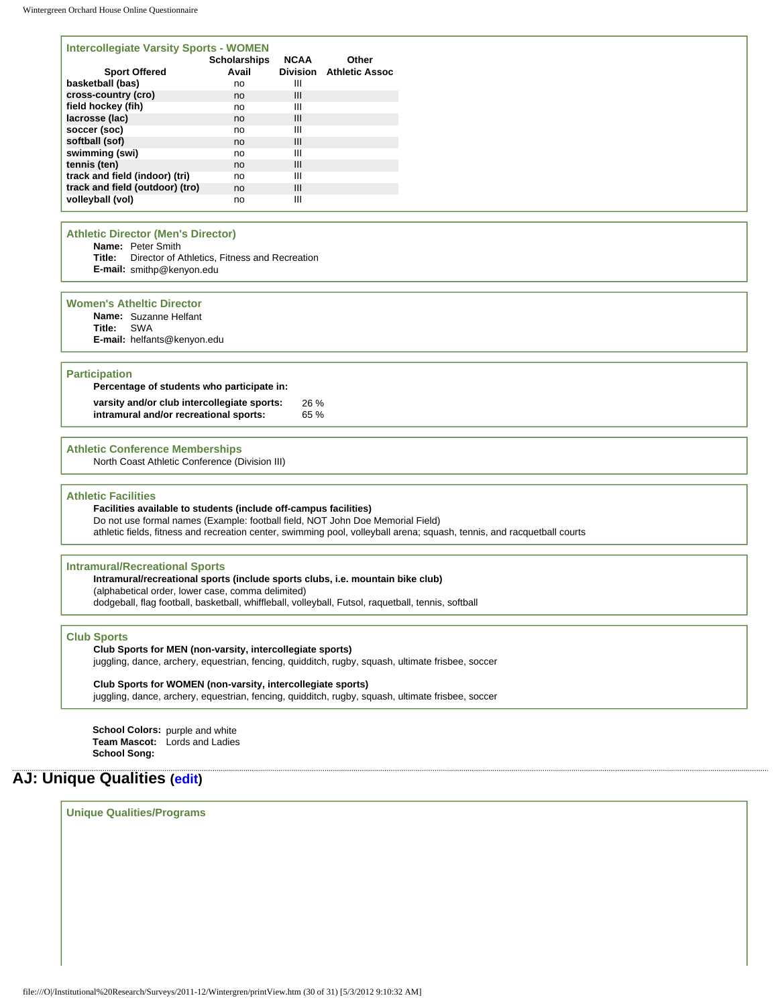#### **Intercollegiate Varsity Sports - WOMEN**

| <b>Scholarships</b><br>Avail | <b>NCAA</b> | Other<br>Division Athletic Assoc |
|------------------------------|-------------|----------------------------------|
| no                           | Ш           |                                  |
| no                           | Ш           |                                  |
| no                           | Ш           |                                  |
| no                           | Ш           |                                  |
| no                           | Ш           |                                  |
| no                           | Ш           |                                  |
| no                           | Ш           |                                  |
| no                           | Ш           |                                  |
| no                           | Ш           |                                  |
| no                           | Ш           |                                  |
| no                           | Ш           |                                  |
|                              |             |                                  |

#### **Athletic Director (Men's Director)**

**Name:** Peter Smith

- **Title:** Director of Athletics, Fitness and Recreation
- **E-mail:** smithp@kenyon.edu

#### **Women's Atheltic Director**

**Name:** Suzanne Helfant

**Title:** SWA **E-mail:** helfants@kenyon.edu

#### **Participation**

| Percentage of students who participate in:  |     |
|---------------------------------------------|-----|
| varsity and/or club intercollegiate sports: | 26% |
| intramural and/or recreational sports:      | 65% |

#### **Athletic Conference Memberships**

North Coast Athletic Conference (Division III)

#### **Athletic Facilities**

#### **Facilities available to students (include off-campus facilities)**

Do not use formal names (Example: football field, NOT John Doe Memorial Field) athletic fields, fitness and recreation center, swimming pool, volleyball arena; squash, tennis, and racquetball courts

#### **Intramural/Recreational Sports**

**Intramural/recreational sports (include sports clubs, i.e. mountain bike club)**  (alphabetical order, lower case, comma delimited) dodgeball, flag football, basketball, whiffleball, volleyball, Futsol, raquetball, tennis, softball

#### **Club Sports**

#### **Club Sports for MEN (non-varsity, intercollegiate sports)**

juggling, dance, archery, equestrian, fencing, quidditch, rugby, squash, ultimate frisbee, soccer

#### **Club Sports for WOMEN (non-varsity, intercollegiate sports)**

juggling, dance, archery, equestrian, fencing, quidditch, rugby, squash, ultimate frisbee, soccer

**School Colors:** purple and white **Team Mascot:** Lords and Ladies **School Song:** 

## **AJ: Unique Qualities [\(edit](http://survey.wgoh.com/secure/sectionAJView.htm))**

**Unique Qualities/Programs**